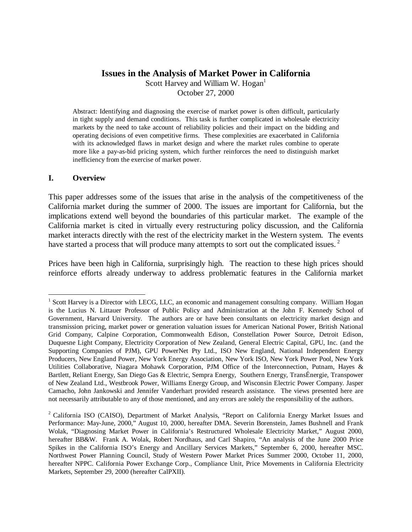# **Issues in the Analysis of Market Power in California**

Scott Harvey and William W. Hogan $<sup>1</sup>$ </sup> October 27, 2000

Abstract: Identifying and diagnosing the exercise of market power is often difficult, particularly in tight supply and demand conditions. This task is further complicated in wholesale electricity markets by the need to take account of reliability policies and their impact on the bidding and operating decisions of even competitive firms. These complexities are exacerbated in California with its acknowledged flaws in market design and where the market rules combine to operate more like a pay-as-bid pricing system, which further reinforces the need to distinguish market inefficiency from the exercise of market power.

#### **I. Overview**

 $\overline{a}$ 

This paper addresses some of the issues that arise in the analysis of the competitiveness of the California market during the summer of 2000. The issues are important for California, but the implications extend well beyond the boundaries of this particular market. The example of the California market is cited in virtually every restructuring policy discussion, and the California market interacts directly with the rest of the electricity market in the Western system. The events have started a process that will produce many attempts to sort out the complicated issues.<sup>2</sup>

Prices have been high in California, surprisingly high. The reaction to these high prices should reinforce efforts already underway to address problematic features in the California market

<sup>&</sup>lt;sup>1</sup> Scott Harvey is a Director with LECG, LLC, an economic and management consulting company. William Hogan is the Lucius N. Littauer Professor of Public Policy and Administration at the John F. Kennedy School of Government, Harvard University. The authors are or have been consultants on electricity market design and transmission pricing, market power or generation valuation issues for American National Power, British National Grid Company, Calpine Corporation, Commonwealth Edison, Constellation Power Source, Detroit Edison, Duquesne Light Company, Electricity Corporation of New Zealand, General Electric Capital, GPU, Inc. (and the Supporting Companies of PJM), GPU PowerNet Pty Ltd., ISO New England, National Independent Energy Producers, New England Power, New York Energy Association, New York ISO, New York Power Pool, New York Utilities Collaborative, Niagara Mohawk Corporation, PJM Office of the Interconnection, Putnam, Hayes & Bartlett, Reliant Energy, San Diego Gas & Electric, Sempra Energy, Southern Energy, TransÉnergie, Transpower of New Zealand Ltd., Westbrook Power, Williams Energy Group, and Wisconsin Electric Power Company. Jasper Camacho, John Jankowski and Jennifer Vanderhart provided research assistance. The views presented here are not necessarily attributable to any of those mentioned, and any errors are solely the responsibility of the authors.

<sup>&</sup>lt;sup>2</sup> California ISO (CAISO), Department of Market Analysis, "Report on California Energy Market Issues and Performance: May-June, 2000," August 10, 2000, hereafter DMA. Severin Borenstein, James Bushnell and Frank Wolak, "Diagnosing Market Power in California's Restructured Wholesale Electricity Market," August 2000, hereafter BB&W. Frank A. Wolak, Robert Nordhaus, and Carl Shapiro, "An analysis of the June 2000 Price Spikes in the California ISO's Energy and Ancillary Services Markets," September 6, 2000, hereafter MSC. Northwest Power Planning Council, Study of Western Power Market Prices Summer 2000, October 11, 2000, hereafter NPPC. California Power Exchange Corp., Compliance Unit, Price Movements in California Electricity Markets, September 29, 2000 (hereafter CalPXII).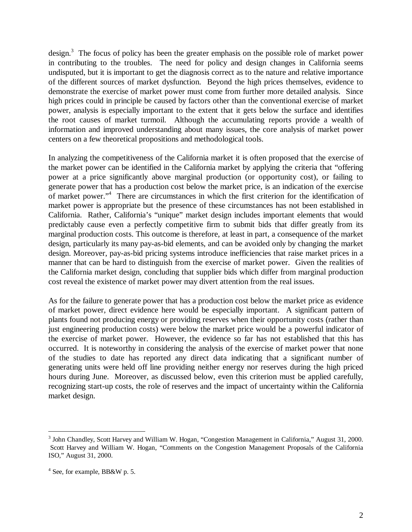design.<sup>3</sup> The focus of policy has been the greater emphasis on the possible role of market power in contributing to the troubles. The need for policy and design changes in California seems undisputed, but it is important to get the diagnosis correct as to the nature and relative importance of the different sources of market dysfunction. Beyond the high prices themselves, evidence to demonstrate the exercise of market power must come from further more detailed analysis. Since high prices could in principle be caused by factors other than the conventional exercise of market power, analysis is especially important to the extent that it gets below the surface and identifies the root causes of market turmoil. Although the accumulating reports provide a wealth of information and improved understanding about many issues, the core analysis of market power centers on a few theoretical propositions and methodological tools.

In analyzing the competitiveness of the California market it is often proposed that the exercise of the market power can be identified in the California market by applying the criteria that "offering power at a price significantly above marginal production (or opportunity cost), or failing to generate power that has a production cost below the market price, is an indication of the exercise of market power."<sup>4</sup> There are circumstances in which the first criterion for the identification of market power is appropriate but the presence of these circumstances has not been established in California. Rather, California's "unique" market design includes important elements that would predictably cause even a perfectly competitive firm to submit bids that differ greatly from its marginal production costs. This outcome is therefore, at least in part, a consequence of the market design, particularly its many pay-as-bid elements, and can be avoided only by changing the market design. Moreover, pay-as-bid pricing systems introduce inefficiencies that raise market prices in a manner that can be hard to distinguish from the exercise of market power. Given the realities of the California market design, concluding that supplier bids which differ from marginal production cost reveal the existence of market power may divert attention from the real issues.

As for the failure to generate power that has a production cost below the market price as evidence of market power, direct evidence here would be especially important. A significant pattern of plants found not producing energy or providing reserves when their opportunity costs (rather than just engineering production costs) were below the market price would be a powerful indicator of the exercise of market power. However, the evidence so far has not established that this has occurred. It is noteworthy in considering the analysis of the exercise of market power that none of the studies to date has reported any direct data indicating that a significant number of generating units were held off line providing neither energy nor reserves during the high priced hours during June. Moreover, as discussed below, even this criterion must be applied carefully, recognizing start-up costs, the role of reserves and the impact of uncertainty within the California market design.

<sup>&</sup>lt;sup>3</sup> John Chandley, Scott Harvey and William W. Hogan, "Congestion Management in California," August 31, 2000. Scott Harvey and William W. Hogan, "Comments on the Congestion Management Proposals of the California ISO," August 31, 2000.

<sup>&</sup>lt;sup>4</sup> See, for example, BB&W p. 5.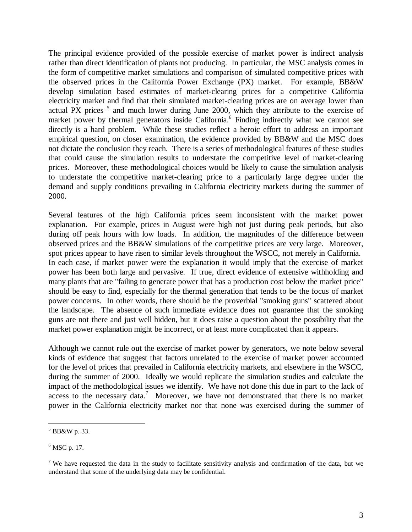The principal evidence provided of the possible exercise of market power is indirect analysis rather than direct identification of plants not producing. In particular, the MSC analysis comes in the form of competitive market simulations and comparison of simulated competitive prices with the observed prices in the California Power Exchange (PX) market. For example, BB&W develop simulation based estimates of market-clearing prices for a competitive California electricity market and find that their simulated market-clearing prices are on average lower than actual PX prices  $5$  and much lower during June 2000, which they attribute to the exercise of market power by thermal generators inside California.<sup>6</sup> Finding indirectly what we cannot see directly is a hard problem. While these studies reflect a heroic effort to address an important empirical question, on closer examination, the evidence provided by BB&W and the MSC does not dictate the conclusion they reach. There is a series of methodological features of these studies that could cause the simulation results to understate the competitive level of market-clearing prices. Moreover, these methodological choices would be likely to cause the simulation analysis to understate the competitive market-clearing price to a particularly large degree under the demand and supply conditions prevailing in California electricity markets during the summer of 2000.

Several features of the high California prices seem inconsistent with the market power explanation. For example, prices in August were high not just during peak periods, but also during off peak hours with low loads. In addition, the magnitudes of the difference between observed prices and the BB&W simulations of the competitive prices are very large. Moreover, spot prices appear to have risen to similar levels throughout the WSCC, not merely in California. In each case, if market power were the explanation it would imply that the exercise of market power has been both large and pervasive. If true, direct evidence of extensive withholding and many plants that are "failing to generate power that has a production cost below the market price" should be easy to find, especially for the thermal generation that tends to be the focus of market power concerns. In other words, there should be the proverbial "smoking guns" scattered about the landscape. The absence of such immediate evidence does not guarantee that the smoking guns are not there and just well hidden, but it does raise a question about the possibility that the market power explanation might be incorrect, or at least more complicated than it appears.

Although we cannot rule out the exercise of market power by generators, we note below several kinds of evidence that suggest that factors unrelated to the exercise of market power accounted for the level of prices that prevailed in California electricity markets, and elsewhere in the WSCC, during the summer of 2000. Ideally we would replicate the simulation studies and calculate the impact of the methodological issues we identify. We have not done this due in part to the lack of access to the necessary data.<sup>7</sup> Moreover, we have not demonstrated that there is no market power in the California electricity market nor that none was exercised during the summer of

 $\overline{a}$ 5 BB&W p. 33.

<sup>&</sup>lt;sup>6</sup> MSC p. 17.

<sup>&</sup>lt;sup>7</sup> We have requested the data in the study to facilitate sensitivity analysis and confirmation of the data, but we understand that some of the underlying data may be confidential.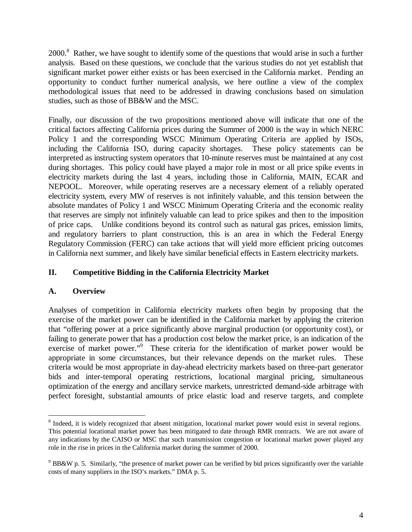2000.<sup>8</sup> Rather, we have sought to identify some of the questions that would arise in such a further analysis. Based on these questions, we conclude that the various studies do not yet establish that significant market power either exists or has been exercised in the California market. Pending an opportunity to conduct further numerical analysis, we here outline a view of the complex methodological issues that need to be addressed in drawing conclusions based on simulation studies, such as those of BB&W and the MSC.

Finally, our discussion of the two propositions mentioned above will indicate that one of the critical factors affecting California prices during the Summer of 2000 is the way in which NERC Policy 1 and the corresponding WSCC Minimum Operating Criteria are applied by ISOs, including the California ISO, during capacity shortages. These policy statements can be interpreted as instructing system operators that 10-minute reserves must be maintained at any cost during shortages. This policy could have played a major role in most or all price spike events in electricity markets during the last 4 years, including those in California, MAIN, ECAR and NEPOOL. Moreover, while operating reserves are a necessary element of a reliably operated electricity system, every MW of reserves is not infinitely valuable, and this tension between the absolute mandates of Policy 1 and WSCC Minimum Operating Criteria and the economic reality that reserves are simply not infinitely valuable can lead to price spikes and then to the imposition of price caps. Unlike conditions beyond its control such as natural gas prices, emission limits, and regulatory barriers to plant construction, this is an area in which the Federal Energy Regulatory Commission (FERC) can take actions that will yield more efficient pricing outcomes in California next summer, and likely have similar beneficial effects in Eastern electricity markets.

# **II. Competitive Bidding in the California Electricity Market**

## **A. Overview**

 $\overline{a}$ 

Analyses of competition in California electricity markets often begin by proposing that the exercise of the market power can be identified in the California market by applying the criterion that "offering power at a price significantly above marginal production (or opportunity cost), or failing to generate power that has a production cost below the market price, is an indication of the exercise of market power."<sup>9</sup> These criteria for the identification of market power would be appropriate in some circumstances, but their relevance depends on the market rules. These criteria would be most appropriate in day-ahead electricity markets based on three-part generator bids and inter-temporal operating restrictions, locational marginal pricing, simultaneous optimization of the energy and ancillary service markets, unrestricted demand-side arbitrage with perfect foresight, substantial amounts of price elastic load and reserve targets, and complete

<sup>&</sup>lt;sup>8</sup> Indeed, it is widely recognized that absent mitigation, locational market power would exist in several regions. This potential locational market power has been mitigated to date through RMR contracts. We are not aware of any indications by the CAISO or MSC that such transmission congestion or locational market power played any role in the rise in prices in the California market during the summer of 2000.

 $9$  BB&W p. 5. Similarly, "the presence of market power can be verified by bid prices significantly over the variable costs of many suppliers in the ISO's markets." DMA p. 5.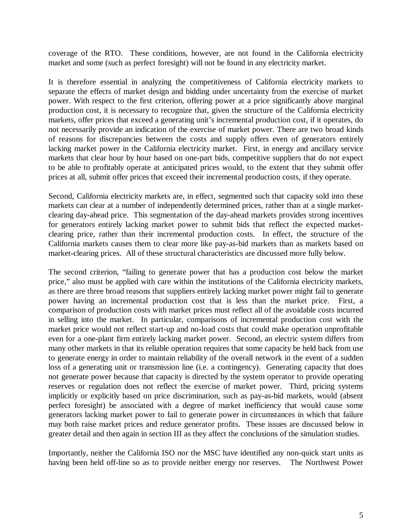coverage of the RTO. These conditions, however, are not found in the California electricity market and some (such as perfect foresight) will not be found in any electricity market.

It is therefore essential in analyzing the competitiveness of California electricity markets to separate the effects of market design and bidding under uncertainty from the exercise of market power. With respect to the first criterion, offering power at a price significantly above marginal production cost, it is necessary to recognize that, given the structure of the California electricity markets, offer prices that exceed a generating unit's incremental production cost, if it operates, do not necessarily provide an indication of the exercise of market power. There are two broad kinds of reasons for discrepancies between the costs and supply offers even of generators entirely lacking market power in the California electricity market. First, in energy and ancillary service markets that clear hour by hour based on one-part bids, competitive suppliers that do not expect to be able to profitably operate at anticipated prices would, to the extent that they submit offer prices at all, submit offer prices that exceed their incremental production costs, if they operate.

Second, California electricity markets are, in effect, segmented such that capacity sold into these markets can clear at a number of independently determined prices, rather than at a single marketclearing day-ahead price. This segmentation of the day-ahead markets provides strong incentives for generators entirely lacking market power to submit bids that reflect the expected marketclearing price, rather than their incremental production costs. In effect, the structure of the California markets causes them to clear more like pay-as-bid markets than as markets based on market-clearing prices. All of these structural characteristics are discussed more fully below.

The second criterion, "failing to generate power that has a production cost below the market price," also must be applied with care within the institutions of the California electricity markets, as there are three broad reasons that suppliers entirely lacking market power might fail to generate power having an incremental production cost that is less than the market price. First, a comparison of production costs with market prices must reflect all of the avoidable costs incurred in selling into the market. In particular, comparisons of incremental production cost with the market price would not reflect start-up and no-load costs that could make operation unprofitable even for a one-plant firm entirely lacking market power. Second, an electric system differs from many other markets in that its reliable operation requires that some capacity be held back from use to generate energy in order to maintain reliability of the overall network in the event of a sudden loss of a generating unit or transmission line (i.e. a contingency). Generating capacity that does not generate power because that capacity is directed by the system operator to provide operating reserves or regulation does not reflect the exercise of market power. Third, pricing systems implicitly or explicitly based on price discrimination, such as pay-as-bid markets, would (absent perfect foresight) be associated with a degree of market inefficiency that would cause some generators lacking market power to fail to generate power in circumstances in which that failure may both raise market prices and reduce generator profits. These issues are discussed below in greater detail and then again in section III as they affect the conclusions of the simulation studies.

Importantly, neither the California ISO nor the MSC have identified any non-quick start units as having been held off-line so as to provide neither energy nor reserves. The Northwest Power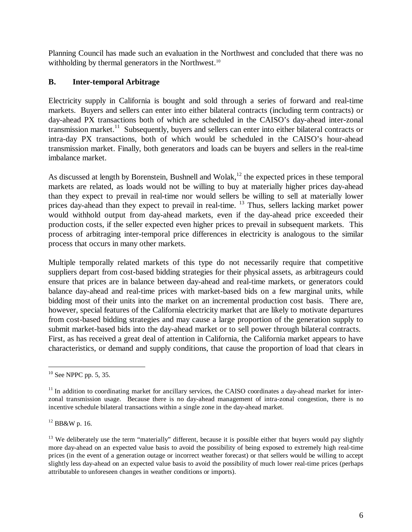Planning Council has made such an evaluation in the Northwest and concluded that there was no withholding by thermal generators in the Northwest.<sup>10</sup>

## **B. Inter-temporal Arbitrage**

Electricity supply in California is bought and sold through a series of forward and real-time markets. Buyers and sellers can enter into either bilateral contracts (including term contracts) or day-ahead PX transactions both of which are scheduled in the CAISO's day-ahead inter-zonal transmission market.<sup>11</sup> Subsequently, buyers and sellers can enter into either bilateral contracts or intra-day PX transactions, both of which would be scheduled in the CAISO's hour-ahead transmission market. Finally, both generators and loads can be buyers and sellers in the real-time imbalance market.

As discussed at length by Borenstein, Bushnell and Wolak,<sup>12</sup> the expected prices in these temporal markets are related, as loads would not be willing to buy at materially higher prices day-ahead than they expect to prevail in real-time nor would sellers be willing to sell at materially lower prices day-ahead than they expect to prevail in real-time. <sup>13</sup> Thus, sellers lacking market power would withhold output from day-ahead markets, even if the day-ahead price exceeded their production costs, if the seller expected even higher prices to prevail in subsequent markets. This process of arbitraging inter-temporal price differences in electricity is analogous to the similar process that occurs in many other markets.

Multiple temporally related markets of this type do not necessarily require that competitive suppliers depart from cost-based bidding strategies for their physical assets, as arbitrageurs could ensure that prices are in balance between day-ahead and real-time markets, or generators could balance day-ahead and real-time prices with market-based bids on a few marginal units, while bidding most of their units into the market on an incremental production cost basis. There are, however, special features of the California electricity market that are likely to motivate departures from cost-based bidding strategies and may cause a large proportion of the generation supply to submit market-based bids into the day-ahead market or to sell power through bilateral contracts. First, as has received a great deal of attention in California, the California market appears to have characteristics, or demand and supply conditions, that cause the proportion of load that clears in

 $\overline{a}$ 

 $12$  BB&W p. 16.

 $10$  See NPPC pp. 5, 35.

 $11$  In addition to coordinating market for ancillary services, the CAISO coordinates a day-ahead market for interzonal transmission usage. Because there is no day-ahead management of intra-zonal congestion, there is no incentive schedule bilateral transactions within a single zone in the day-ahead market.

 $13$  We deliberately use the term "materially" different, because it is possible either that buyers would pay slightly more day-ahead on an expected value basis to avoid the possibility of being exposed to extremely high real-time prices (in the event of a generation outage or incorrect weather forecast) or that sellers would be willing to accept slightly less day-ahead on an expected value basis to avoid the possibility of much lower real-time prices (perhaps attributable to unforeseen changes in weather conditions or imports).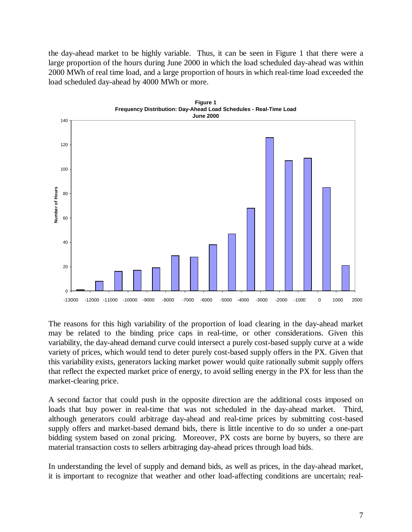the day-ahead market to be highly variable. Thus, it can be seen in Figure 1 that there were a large proportion of the hours during June 2000 in which the load scheduled day-ahead was within 2000 MWh of real time load, and a large proportion of hours in which real-time load exceeded the load scheduled day-ahead by 4000 MWh or more.



The reasons for this high variability of the proportion of load clearing in the day-ahead market may be related to the binding price caps in real-time, or other considerations. Given this variability, the day-ahead demand curve could intersect a purely cost-based supply curve at a wide variety of prices, which would tend to deter purely cost-based supply offers in the PX. Given that this variability exists, generators lacking market power would quite rationally submit supply offers that reflect the expected market price of energy, to avoid selling energy in the PX for less than the market-clearing price.

A second factor that could push in the opposite direction are the additional costs imposed on loads that buy power in real-time that was not scheduled in the day-ahead market. Third, although generators could arbitrage day-ahead and real-time prices by submitting cost-based supply offers and market-based demand bids, there is little incentive to do so under a one-part bidding system based on zonal pricing. Moreover, PX costs are borne by buyers, so there are material transaction costs to sellers arbitraging day-ahead prices through load bids.

In understanding the level of supply and demand bids, as well as prices, in the day-ahead market, it is important to recognize that weather and other load-affecting conditions are uncertain; real-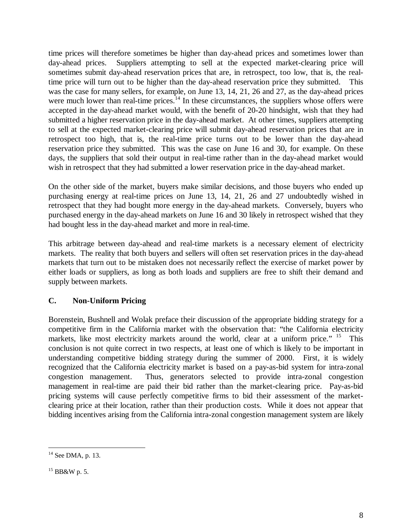time prices will therefore sometimes be higher than day-ahead prices and sometimes lower than day-ahead prices. Suppliers attempting to sell at the expected market-clearing price will sometimes submit day-ahead reservation prices that are, in retrospect, too low, that is, the realtime price will turn out to be higher than the day-ahead reservation price they submitted. This was the case for many sellers, for example, on June 13, 14, 21, 26 and 27, as the day-ahead prices were much lower than real-time prices.<sup>14</sup> In these circumstances, the suppliers whose offers were accepted in the day-ahead market would, with the benefit of 20-20 hindsight, wish that they had submitted a higher reservation price in the day-ahead market. At other times, suppliers attempting to sell at the expected market-clearing price will submit day-ahead reservation prices that are in retrospect too high, that is, the real-time price turns out to be lower than the day-ahead reservation price they submitted. This was the case on June 16 and 30, for example. On these days, the suppliers that sold their output in real-time rather than in the day-ahead market would wish in retrospect that they had submitted a lower reservation price in the day-ahead market.

On the other side of the market, buyers make similar decisions, and those buyers who ended up purchasing energy at real-time prices on June 13, 14, 21, 26 and 27 undoubtedly wished in retrospect that they had bought more energy in the day-ahead markets. Conversely, buyers who purchased energy in the day-ahead markets on June 16 and 30 likely in retrospect wished that they had bought less in the day-ahead market and more in real-time.

This arbitrage between day-ahead and real-time markets is a necessary element of electricity markets. The reality that both buyers and sellers will often set reservation prices in the day-ahead markets that turn out to be mistaken does not necessarily reflect the exercise of market power by either loads or suppliers, as long as both loads and suppliers are free to shift their demand and supply between markets.

# **C. Non-Uniform Pricing**

Borenstein, Bushnell and Wolak preface their discussion of the appropriate bidding strategy for a competitive firm in the California market with the observation that: "the California electricity markets, like most electricity markets around the world, clear at a uniform price." <sup>15</sup> This conclusion is not quite correct in two respects, at least one of which is likely to be important in understanding competitive bidding strategy during the summer of 2000. First, it is widely recognized that the California electricity market is based on a pay-as-bid system for intra-zonal congestion management. Thus, generators selected to provide intra-zonal congestion management in real-time are paid their bid rather than the market-clearing price. Pay-as-bid pricing systems will cause perfectly competitive firms to bid their assessment of the marketclearing price at their location, rather than their production costs. While it does not appear that bidding incentives arising from the California intra-zonal congestion management system are likely

 $\overline{a}$  $14$  See DMA, p. 13.

 $15$  BB&W p. 5.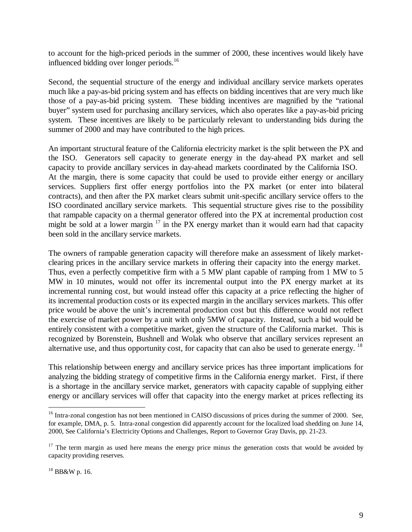to account for the high-priced periods in the summer of 2000, these incentives would likely have influenced bidding over longer periods.<sup>16</sup>

Second, the sequential structure of the energy and individual ancillary service markets operates much like a pay-as-bid pricing system and has effects on bidding incentives that are very much like those of a pay-as-bid pricing system. These bidding incentives are magnified by the "rational buyer" system used for purchasing ancillary services, which also operates like a pay-as-bid pricing system. These incentives are likely to be particularly relevant to understanding bids during the summer of 2000 and may have contributed to the high prices.

An important structural feature of the California electricity market is the split between the PX and the ISO. Generators sell capacity to generate energy in the day-ahead PX market and sell capacity to provide ancillary services in day-ahead markets coordinated by the California ISO. At the margin, there is some capacity that could be used to provide either energy or ancillary services. Suppliers first offer energy portfolios into the PX market (or enter into bilateral contracts), and then after the PX market clears submit unit-specific ancillary service offers to the ISO coordinated ancillary service markets. This sequential structure gives rise to the possibility that rampable capacity on a thermal generator offered into the PX at incremental production cost might be sold at a lower margin  $17$  in the PX energy market than it would earn had that capacity been sold in the ancillary service markets.

The owners of rampable generation capacity will therefore make an assessment of likely marketclearing prices in the ancillary service markets in offering their capacity into the energy market. Thus, even a perfectly competitive firm with a 5 MW plant capable of ramping from 1 MW to 5 MW in 10 minutes, would not offer its incremental output into the PX energy market at its incremental running cost, but would instead offer this capacity at a price reflecting the higher of its incremental production costs or its expected margin in the ancillary services markets. This offer price would be above the unit's incremental production cost but this difference would not reflect the exercise of market power by a unit with only 5MW of capacity. Instead, such a bid would be entirely consistent with a competitive market, given the structure of the California market. This is recognized by Borenstein, Bushnell and Wolak who observe that ancillary services represent an alternative use, and thus opportunity cost, for capacity that can also be used to generate energy. <sup>18</sup>

This relationship between energy and ancillary service prices has three important implications for analyzing the bidding strategy of competitive firms in the California energy market. First, if there is a shortage in the ancillary service market, generators with capacity capable of supplying either energy or ancillary services will offer that capacity into the energy market at prices reflecting its

<sup>&</sup>lt;sup>16</sup> Intra-zonal congestion has not been mentioned in CAISO discussions of prices during the summer of 2000. See, for example, DMA, p. 5. Intra-zonal congestion did apparently account for the localized load shedding on June 14, 2000, See California's Electricity Options and Challenges, Report to Governor Gray Davis, pp. 21-23.

 $17$  The term margin as used here means the energy price minus the generation costs that would be avoided by capacity providing reserves.

<sup>18</sup> BB&W p. 16.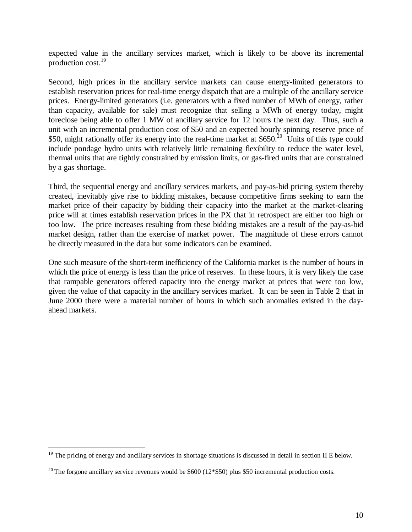expected value in the ancillary services market, which is likely to be above its incremental production cost. $^{19}$ 

Second, high prices in the ancillary service markets can cause energy-limited generators to establish reservation prices for real-time energy dispatch that are a multiple of the ancillary service prices. Energy-limited generators (i.e. generators with a fixed number of MWh of energy, rather than capacity, available for sale) must recognize that selling a MWh of energy today, might foreclose being able to offer 1 MW of ancillary service for 12 hours the next day. Thus, such a unit with an incremental production cost of \$50 and an expected hourly spinning reserve price of \$50, might rationally offer its energy into the real-time market at \$650.<sup>20</sup> Units of this type could include pondage hydro units with relatively little remaining flexibility to reduce the water level, thermal units that are tightly constrained by emission limits, or gas-fired units that are constrained by a gas shortage.

Third, the sequential energy and ancillary services markets, and pay-as-bid pricing system thereby created, inevitably give rise to bidding mistakes, because competitive firms seeking to earn the market price of their capacity by bidding their capacity into the market at the market-clearing price will at times establish reservation prices in the PX that in retrospect are either too high or too low. The price increases resulting from these bidding mistakes are a result of the pay-as-bid market design, rather than the exercise of market power. The magnitude of these errors cannot be directly measured in the data but some indicators can be examined.

One such measure of the short-term inefficiency of the California market is the number of hours in which the price of energy is less than the price of reserves. In these hours, it is very likely the case that rampable generators offered capacity into the energy market at prices that were too low, given the value of that capacity in the ancillary services market. It can be seen in Table 2 that in June 2000 there were a material number of hours in which such anomalies existed in the dayahead markets.

 $19$  The pricing of energy and ancillary services in shortage situations is discussed in detail in section II E below.

<sup>&</sup>lt;sup>20</sup> The forgone ancillary service revenues would be \$600 (12\*\$50) plus \$50 incremental production costs.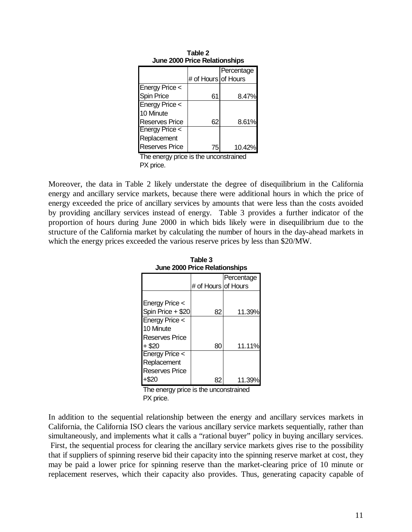| June 2000 Price Relationships |                     |            |
|-------------------------------|---------------------|------------|
|                               |                     | Percentage |
|                               | # of Hours of Hours |            |
| <b>Energy Price &lt;</b>      |                     |            |
| <b>Spin Price</b>             | 61                  | 8.47%      |
| <b>Energy Price &lt;</b>      |                     |            |
| 10 Minute                     |                     |            |
| <b>Reserves Price</b>         | 62                  | 8.61%      |
| <b>Energy Price &lt;</b>      |                     |            |
| Replacement                   |                     |            |
| <b>Reserves Price</b>         | 75                  | 10.42%     |
|                               |                     |            |

**Table 2 June 2000 Price Relationships**

The energy price is the unconstrained PX price.

Moreover, the data in Table 2 likely understate the degree of disequilibrium in the California energy and ancillary service markets, because there were additional hours in which the price of energy exceeded the price of ancillary services by amounts that were less than the costs avoided by providing ancillary services instead of energy. Table 3 provides a further indicator of the proportion of hours during June 2000 in which bids likely were in disequilibrium due to the structure of the California market by calculating the number of hours in the day-ahead markets in which the energy prices exceeded the various reserve prices by less than \$20/MW.

| JUI IC ZUUU I TICC REIGUU ISHIDS |                     |            |  |
|----------------------------------|---------------------|------------|--|
|                                  |                     | Percentage |  |
|                                  | # of Hours of Hours |            |  |
|                                  |                     |            |  |
| Energy Price <                   |                     |            |  |
| Spin Price + \$20                | 82                  | 11.39%     |  |
| Energy Price <                   |                     |            |  |
| 10 Minute                        |                     |            |  |
| <b>Reserves Price</b>            |                     |            |  |
| $+$ \$20                         | 80                  | 11.11%     |  |
| <b>Energy Price &lt;</b>         |                     |            |  |
| Replacement                      |                     |            |  |
| <b>Reserves Price</b>            |                     |            |  |
|                                  |                     | 11.39      |  |

**Table 3 June 2000 Price Relationships**

The energy price is the unconstrained PX price.

In addition to the sequential relationship between the energy and ancillary services markets in California, the California ISO clears the various ancillary service markets sequentially, rather than simultaneously, and implements what it calls a "rational buyer" policy in buying ancillary services. First, the sequential process for clearing the ancillary service markets gives rise to the possibility that if suppliers of spinning reserve bid their capacity into the spinning reserve market at cost, they may be paid a lower price for spinning reserve than the market-clearing price of 10 minute or replacement reserves, which their capacity also provides. Thus, generating capacity capable of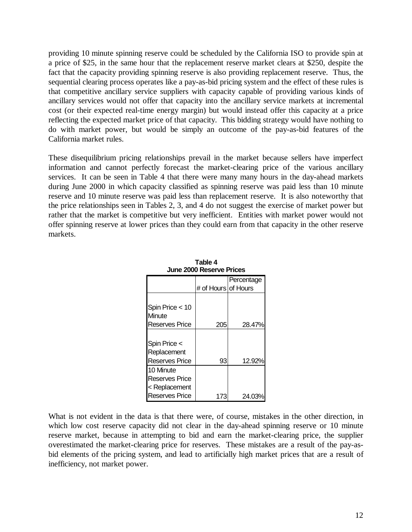providing 10 minute spinning reserve could be scheduled by the California ISO to provide spin at a price of \$25, in the same hour that the replacement reserve market clears at \$250, despite the fact that the capacity providing spinning reserve is also providing replacement reserve. Thus, the sequential clearing process operates like a pay-as-bid pricing system and the effect of these rules is that competitive ancillary service suppliers with capacity capable of providing various kinds of ancillary services would not offer that capacity into the ancillary service markets at incremental cost (or their expected real-time energy margin) but would instead offer this capacity at a price reflecting the expected market price of that capacity. This bidding strategy would have nothing to do with market power, but would be simply an outcome of the pay-as-bid features of the California market rules.

These disequilibrium pricing relationships prevail in the market because sellers have imperfect information and cannot perfectly forecast the market-clearing price of the various ancillary services. It can be seen in Table 4 that there were many many hours in the day-ahead markets during June 2000 in which capacity classified as spinning reserve was paid less than 10 minute reserve and 10 minute reserve was paid less than replacement reserve. It is also noteworthy that the price relationships seen in Tables 2, 3, and 4 do not suggest the exercise of market power but rather that the market is competitive but very inefficient. Entities with market power would not offer spinning reserve at lower prices than they could earn from that capacity in the other reserve markets.

| JUI IC ZUUU RESCI VE FI ILES |                     |            |  |
|------------------------------|---------------------|------------|--|
|                              |                     | Percentage |  |
|                              | # of Hours of Hours |            |  |
|                              |                     |            |  |
| Spin Price $<$ 10            |                     |            |  |
| Minute                       |                     |            |  |
| <b>Reserves Price</b>        | 205                 | 28.47%     |  |
|                              |                     |            |  |
| Spin Price <                 |                     |            |  |
| Replacement                  |                     |            |  |
| <b>Reserves Price</b>        | 93                  | 12.92%     |  |
| 10 Minute                    |                     |            |  |
| Reserves Price               |                     |            |  |
| < Replacement                |                     |            |  |
| <b>Reserves Price</b>        | 173                 | 24.03      |  |

**Table 4 June 2000 Reserve Prices**

What is not evident in the data is that there were, of course, mistakes in the other direction, in which low cost reserve capacity did not clear in the day-ahead spinning reserve or 10 minute reserve market, because in attempting to bid and earn the market-clearing price, the supplier overestimated the market-clearing price for reserves. These mistakes are a result of the pay-asbid elements of the pricing system, and lead to artificially high market prices that are a result of inefficiency, not market power.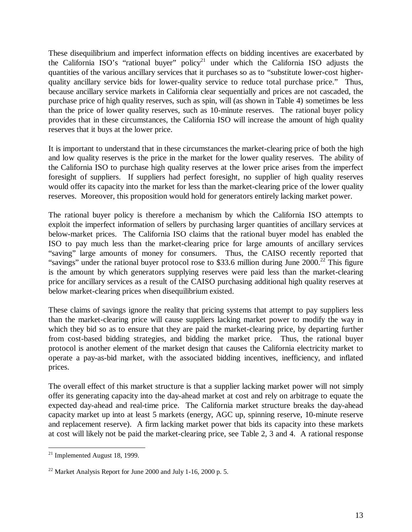These disequilibrium and imperfect information effects on bidding incentives are exacerbated by the California ISO's "rational buyer" policy<sup>21</sup> under which the California ISO adjusts the quantities of the various ancillary services that it purchases so as to "substitute lower-cost higherquality ancillary service bids for lower-quality service to reduce total purchase price." Thus, because ancillary service markets in California clear sequentially and prices are not cascaded, the purchase price of high quality reserves, such as spin, will (as shown in Table 4) sometimes be less than the price of lower quality reserves, such as 10-minute reserves. The rational buyer policy provides that in these circumstances, the California ISO will increase the amount of high quality reserves that it buys at the lower price.

It is important to understand that in these circumstances the market-clearing price of both the high and low quality reserves is the price in the market for the lower quality reserves. The ability of the California ISO to purchase high quality reserves at the lower price arises from the imperfect foresight of suppliers. If suppliers had perfect foresight, no supplier of high quality reserves would offer its capacity into the market for less than the market-clearing price of the lower quality reserves. Moreover, this proposition would hold for generators entirely lacking market power.

The rational buyer policy is therefore a mechanism by which the California ISO attempts to exploit the imperfect information of sellers by purchasing larger quantities of ancillary services at below-market prices. The California ISO claims that the rational buyer model has enabled the ISO to pay much less than the market-clearing price for large amounts of ancillary services "saving" large amounts of money for consumers. Thus, the CAISO recently reported that "savings" under the rational buyer protocol rose to \$33.6 million during June 2000.<sup>22</sup> This figure is the amount by which generators supplying reserves were paid less than the market-clearing price for ancillary services as a result of the CAISO purchasing additional high quality reserves at below market-clearing prices when disequilibrium existed.

These claims of savings ignore the reality that pricing systems that attempt to pay suppliers less than the market-clearing price will cause suppliers lacking market power to modify the way in which they bid so as to ensure that they are paid the market-clearing price, by departing further from cost-based bidding strategies, and bidding the market price. Thus, the rational buyer protocol is another element of the market design that causes the California electricity market to operate a pay-as-bid market, with the associated bidding incentives, inefficiency, and inflated prices.

The overall effect of this market structure is that a supplier lacking market power will not simply offer its generating capacity into the day-ahead market at cost and rely on arbitrage to equate the expected day-ahead and real-time price. The California market structure breaks the day-ahead capacity market up into at least 5 markets (energy, AGC up, spinning reserve, 10-minute reserve and replacement reserve). A firm lacking market power that bids its capacity into these markets at cost will likely not be paid the market-clearing price, see Table 2, 3 and 4. A rational response

 $\overline{a}$  $21$  Implemented August 18, 1999.

 $22$  Market Analysis Report for June 2000 and July 1-16, 2000 p. 5.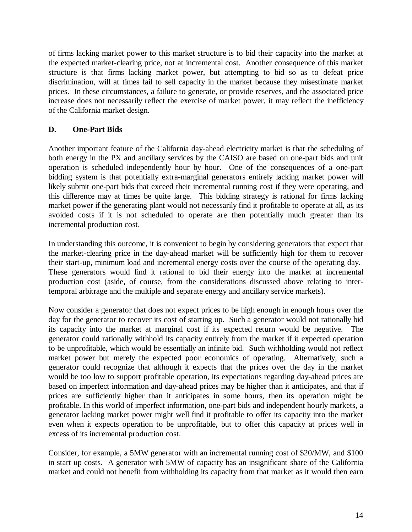of firms lacking market power to this market structure is to bid their capacity into the market at the expected market-clearing price, not at incremental cost. Another consequence of this market structure is that firms lacking market power, but attempting to bid so as to defeat price discrimination, will at times fail to sell capacity in the market because they misestimate market prices. In these circumstances, a failure to generate, or provide reserves, and the associated price increase does not necessarily reflect the exercise of market power, it may reflect the inefficiency of the California market design.

# **D. One-Part Bids**

Another important feature of the California day-ahead electricity market is that the scheduling of both energy in the PX and ancillary services by the CAISO are based on one-part bids and unit operation is scheduled independently hour by hour. One of the consequences of a one-part bidding system is that potentially extra-marginal generators entirely lacking market power will likely submit one-part bids that exceed their incremental running cost if they were operating, and this difference may at times be quite large. This bidding strategy is rational for firms lacking market power if the generating plant would not necessarily find it profitable to operate at all, as its avoided costs if it is not scheduled to operate are then potentially much greater than its incremental production cost.

In understanding this outcome, it is convenient to begin by considering generators that expect that the market-clearing price in the day-ahead market will be sufficiently high for them to recover their start-up, minimum load and incremental energy costs over the course of the operating day. These generators would find it rational to bid their energy into the market at incremental production cost (aside, of course, from the considerations discussed above relating to intertemporal arbitrage and the multiple and separate energy and ancillary service markets).

Now consider a generator that does not expect prices to be high enough in enough hours over the day for the generator to recover its cost of starting up. Such a generator would not rationally bid its capacity into the market at marginal cost if its expected return would be negative. The generator could rationally withhold its capacity entirely from the market if it expected operation to be unprofitable, which would be essentially an infinite bid. Such withholding would not reflect market power but merely the expected poor economics of operating. Alternatively, such a generator could recognize that although it expects that the prices over the day in the market would be too low to support profitable operation, its expectations regarding day-ahead prices are based on imperfect information and day-ahead prices may be higher than it anticipates, and that if prices are sufficiently higher than it anticipates in some hours, then its operation might be profitable. In this world of imperfect information, one-part bids and independent hourly markets, a generator lacking market power might well find it profitable to offer its capacity into the market even when it expects operation to be unprofitable, but to offer this capacity at prices well in excess of its incremental production cost.

Consider, for example, a 5MW generator with an incremental running cost of \$20/MW, and \$100 in start up costs. A generator with 5MW of capacity has an insignificant share of the California market and could not benefit from withholding its capacity from that market as it would then earn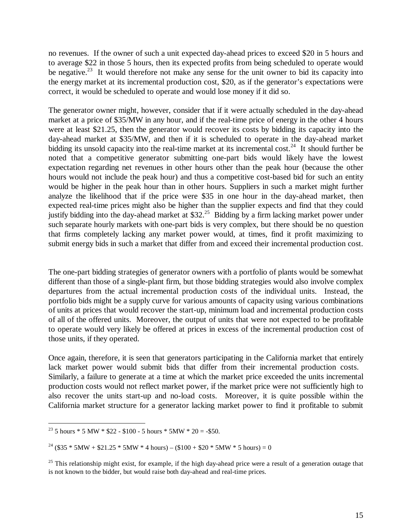no revenues. If the owner of such a unit expected day-ahead prices to exceed \$20 in 5 hours and to average \$22 in those 5 hours, then its expected profits from being scheduled to operate would be negative.<sup>23</sup> It would therefore not make any sense for the unit owner to bid its capacity into the energy market at its incremental production cost, \$20, as if the generator's expectations were correct, it would be scheduled to operate and would lose money if it did so.

The generator owner might, however, consider that if it were actually scheduled in the day-ahead market at a price of \$35/MW in any hour, and if the real-time price of energy in the other 4 hours were at least \$21.25, then the generator would recover its costs by bidding its capacity into the day-ahead market at \$35/MW, and then if it is scheduled to operate in the day-ahead market bidding its unsold capacity into the real-time market at its incremental cost.<sup>24</sup> It should further be noted that a competitive generator submitting one-part bids would likely have the lowest expectation regarding net revenues in other hours other than the peak hour (because the other hours would not include the peak hour) and thus a competitive cost-based bid for such an entity would be higher in the peak hour than in other hours. Suppliers in such a market might further analyze the likelihood that if the price were \$35 in one hour in the day-ahead market, then expected real-time prices might also be higher than the supplier expects and find that they could justify bidding into the day-ahead market at \$32<sup>25</sup> Bidding by a firm lacking market power under such separate hourly markets with one-part bids is very complex, but there should be no question that firms completely lacking any market power would, at times, find it profit maximizing to submit energy bids in such a market that differ from and exceed their incremental production cost.

The one-part bidding strategies of generator owners with a portfolio of plants would be somewhat different than those of a single-plant firm, but those bidding strategies would also involve complex departures from the actual incremental production costs of the individual units. Instead, the portfolio bids might be a supply curve for various amounts of capacity using various combinations of units at prices that would recover the start-up, minimum load and incremental production costs of all of the offered units. Moreover, the output of units that were not expected to be profitable to operate would very likely be offered at prices in excess of the incremental production cost of those units, if they operated.

Once again, therefore, it is seen that generators participating in the California market that entirely lack market power would submit bids that differ from their incremental production costs. Similarly, a failure to generate at a time at which the market price exceeded the units incremental production costs would not reflect market power, if the market price were not sufficiently high to also recover the units start-up and no-load costs. Moreover, it is quite possible within the California market structure for a generator lacking market power to find it profitable to submit

<sup>&</sup>lt;sup>23</sup> 5 hours \* 5 MW \* \$22 - \$100 - 5 hours \* 5 MW \* 20 = - \$50.

<sup>&</sup>lt;sup>24</sup> (\$35 \* 5MW + \$21.25 \* 5MW \* 4 hours) – (\$100 + \$20 \* 5MW \* 5 hours) = 0

 $^{25}$  This relationship might exist, for example, if the high day-ahead price were a result of a generation outage that is not known to the bidder, but would raise both day-ahead and real-time prices.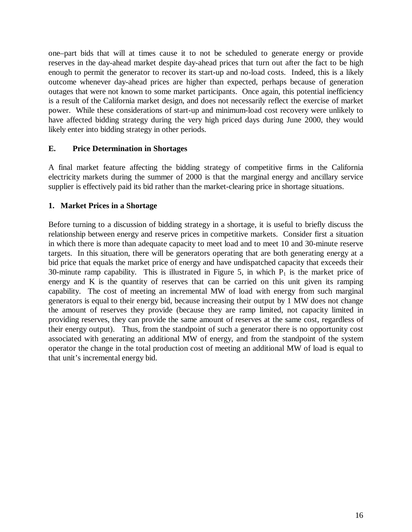one–part bids that will at times cause it to not be scheduled to generate energy or provide reserves in the day-ahead market despite day-ahead prices that turn out after the fact to be high enough to permit the generator to recover its start-up and no-load costs. Indeed, this is a likely outcome whenever day-ahead prices are higher than expected, perhaps because of generation outages that were not known to some market participants. Once again, this potential inefficiency is a result of the California market design, and does not necessarily reflect the exercise of market power. While these considerations of start-up and minimum-load cost recovery were unlikely to have affected bidding strategy during the very high priced days during June 2000, they would likely enter into bidding strategy in other periods.

#### **E. Price Determination in Shortages**

A final market feature affecting the bidding strategy of competitive firms in the California electricity markets during the summer of 2000 is that the marginal energy and ancillary service supplier is effectively paid its bid rather than the market-clearing price in shortage situations.

#### **1. Market Prices in a Shortage**

Before turning to a discussion of bidding strategy in a shortage, it is useful to briefly discuss the relationship between energy and reserve prices in competitive markets. Consider first a situation in which there is more than adequate capacity to meet load and to meet 10 and 30-minute reserve targets. In this situation, there will be generators operating that are both generating energy at a bid price that equals the market price of energy and have undispatched capacity that exceeds their 30-minute ramp capability. This is illustrated in Figure 5, in which  $P_1$  is the market price of energy and K is the quantity of reserves that can be carried on this unit given its ramping capability. The cost of meeting an incremental MW of load with energy from such marginal generators is equal to their energy bid, because increasing their output by 1 MW does not change the amount of reserves they provide (because they are ramp limited, not capacity limited in providing reserves, they can provide the same amount of reserves at the same cost, regardless of their energy output). Thus, from the standpoint of such a generator there is no opportunity cost associated with generating an additional MW of energy, and from the standpoint of the system operator the change in the total production cost of meeting an additional MW of load is equal to that unit's incremental energy bid.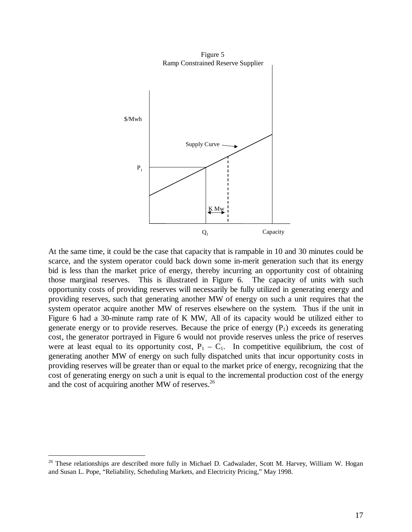

At the same time, it could be the case that capacity that is rampable in 10 and 30 minutes could be scarce, and the system operator could back down some in-merit generation such that its energy bid is less than the market price of energy, thereby incurring an opportunity cost of obtaining those marginal reserves. This is illustrated in Figure 6. The capacity of units with such opportunity costs of providing reserves will necessarily be fully utilized in generating energy and providing reserves, such that generating another MW of energy on such a unit requires that the system operator acquire another MW of reserves elsewhere on the system. Thus if the unit in Figure 6 had a 30-minute ramp rate of K MW, All of its capacity would be utilized either to generate energy or to provide reserves. Because the price of energy  $(P_1)$  exceeds its generating cost, the generator portrayed in Figure 6 would not provide reserves unless the price of reserves were at least equal to its opportunity cost,  $P_1 - C_1$ . In competitive equilibrium, the cost of generating another MW of energy on such fully dispatched units that incur opportunity costs in providing reserves will be greater than or equal to the market price of energy, recognizing that the cost of generating energy on such a unit is equal to the incremental production cost of the energy and the cost of acquiring another MW of reserves.<sup>26</sup>

<sup>&</sup>lt;sup>26</sup> These relationships are described more fully in Michael D. Cadwalader, Scott M. Harvey, William W. Hogan and Susan L. Pope, "Reliability, Scheduling Markets, and Electricity Pricing," May 1998.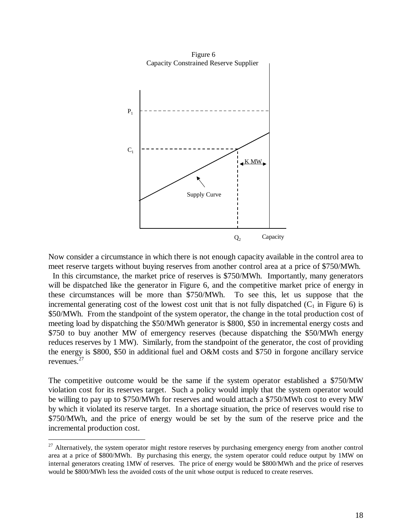

Now consider a circumstance in which there is not enough capacity available in the control area to meet reserve targets without buying reserves from another control area at a price of \$750/MWh.

 In this circumstance, the market price of reserves is \$750/MWh. Importantly, many generators will be dispatched like the generator in Figure 6, and the competitive market price of energy in these circumstances will be more than \$750/MWh. To see this, let us suppose that the incremental generating cost of the lowest cost unit that is not fully dispatched  $(C_1$  in Figure 6) is \$50/MWh. From the standpoint of the system operator, the change in the total production cost of meeting load by dispatching the \$50/MWh generator is \$800, \$50 in incremental energy costs and \$750 to buy another MW of emergency reserves (because dispatching the \$50/MWh energy reduces reserves by 1 MW). Similarly, from the standpoint of the generator, the cost of providing the energy is \$800, \$50 in additional fuel and O&M costs and \$750 in forgone ancillary service revenues. $<sup>2</sup>$ </sup>

The competitive outcome would be the same if the system operator established a \$750/MW violation cost for its reserves target. Such a policy would imply that the system operator would be willing to pay up to \$750/MWh for reserves and would attach a \$750/MWh cost to every MW by which it violated its reserve target. In a shortage situation, the price of reserves would rise to \$750/MWh, and the price of energy would be set by the sum of the reserve price and the incremental production cost.

 $27$  Alternatively, the system operator might restore reserves by purchasing emergency energy from another control area at a price of \$800/MWh. By purchasing this energy, the system operator could reduce output by 1MW on internal generators creating 1MW of reserves. The price of energy would be \$800/MWh and the price of reserves would be \$800/MWh less the avoided costs of the unit whose output is reduced to create reserves.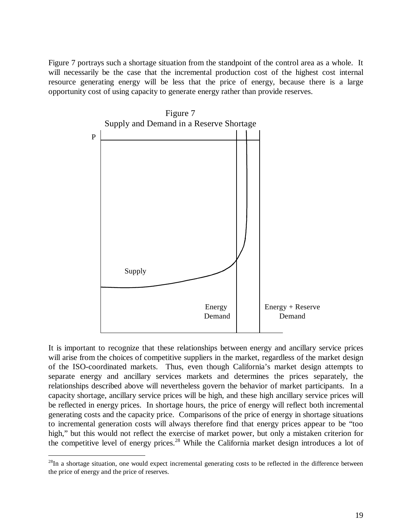Figure 7 portrays such a shortage situation from the standpoint of the control area as a whole. It will necessarily be the case that the incremental production cost of the highest cost internal resource generating energy will be less that the price of energy, because there is a large opportunity cost of using capacity to generate energy rather than provide reserves.



It is important to recognize that these relationships between energy and ancillary service prices will arise from the choices of competitive suppliers in the market, regardless of the market design of the ISO-coordinated markets. Thus, even though California's market design attempts to separate energy and ancillary services markets and determines the prices separately, the relationships described above will nevertheless govern the behavior of market participants. In a capacity shortage, ancillary service prices will be high, and these high ancillary service prices will be reflected in energy prices. In shortage hours, the price of energy will reflect both incremental generating costs and the capacity price. Comparisons of the price of energy in shortage situations to incremental generation costs will always therefore find that energy prices appear to be "too high," but this would not reflect the exercise of market power, but only a mistaken criterion for the competitive level of energy prices.<sup>28</sup> While the California market design introduces a lot of

 $28$ In a shortage situation, one would expect incremental generating costs to be reflected in the difference between the price of energy and the price of reserves.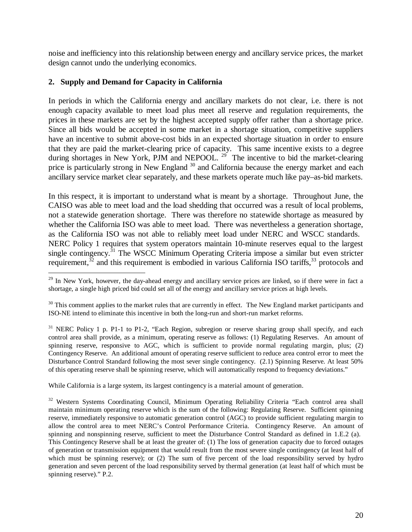noise and inefficiency into this relationship between energy and ancillary service prices, the market design cannot undo the underlying economics.

## **2. Supply and Demand for Capacity in California**

 $\overline{a}$ 

In periods in which the California energy and ancillary markets do not clear, i.e. there is not enough capacity available to meet load plus meet all reserve and regulation requirements, the prices in these markets are set by the highest accepted supply offer rather than a shortage price. Since all bids would be accepted in some market in a shortage situation, competitive suppliers have an incentive to submit above-cost bids in an expected shortage situation in order to ensure that they are paid the market-clearing price of capacity. This same incentive exists to a degree during shortages in New York, PJM and NEPOOL.  $^{29}$  The incentive to bid the market-clearing price is particularly strong in New England<sup>30</sup> and California because the energy market and each ancillary service market clear separately, and these markets operate much like pay–as-bid markets.

In this respect, it is important to understand what is meant by a shortage. Throughout June, the CAISO was able to meet load and the load shedding that occurred was a result of local problems, not a statewide generation shortage. There was therefore no statewide shortage as measured by whether the California ISO was able to meet load. There was nevertheless a generation shortage, as the California ISO was not able to reliably meet load under NERC and WSCC standards. NERC Policy 1 requires that system operators maintain 10-minute reserves equal to the largest single contingency.<sup>31</sup> The WSCC Minimum Operating Criteria impose a similar but even stricter requirement, $32$  and this requirement is embodied in various California ISO tariffs,  $33$  protocols and

While California is a large system, its largest contingency is a material amount of generation.

<sup>32</sup> Western Systems Coordinating Council, Minimum Operating Reliability Criteria "Each control area shall maintain minimum operating reserve which is the sum of the following: Regulating Reserve. Sufficient spinning reserve, immediately responsive to automatic generation control (AGC) to provide sufficient regulating margin to allow the control area to meet NERC's Control Performance Criteria. Contingency Reserve. An amount of spinning and nonspinning reserve, sufficient to meet the Disturbance Control Standard as defined in 1.E.2 (a). This Contingency Reserve shall be at least the greater of: (1) The loss of generation capacity due to forced outages of generation or transmission equipment that would result from the most severe single contingency (at least half of which must be spinning reserve); or (2) The sum of five percent of the load responsibility served by hydro generation and seven percent of the load responsibility served by thermal generation (at least half of which must be spinning reserve)." P.2.

<sup>&</sup>lt;sup>29</sup> In New York, however, the day-ahead energy and ancillary service prices are linked, so if there were in fact a shortage, a single high priced bid could set all of the energy and ancillary service prices at high levels.

 $30$  This comment applies to the market rules that are currently in effect. The New England market participants and ISO-NE intend to eliminate this incentive in both the long-run and short-run market reforms.

<sup>&</sup>lt;sup>31</sup> NERC Policy 1 p. P1-1 to P1-2, "Each Region, subregion or reserve sharing group shall specify, and each control area shall provide, as a minimum, operating reserve as follows: (1) Regulating Reserves. An amount of spinning reserve, responsive to AGC, which is sufficient to provide normal regulating margin, plus; (2) Contingency Reserve. An additional amount of operating reserve sufficient to reduce area control error to meet the Disturbance Control Standard following the most sever single contingency. (2.1) Spinning Reserve. At least 50% of this operating reserve shall be spinning reserve, which will automatically respond to frequency deviations."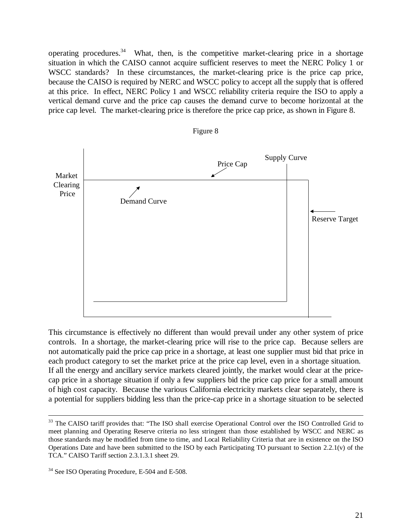operating procedures.<sup>34</sup> What, then, is the competitive market-clearing price in a shortage situation in which the CAISO cannot acquire sufficient reserves to meet the NERC Policy 1 or WSCC standards? In these circumstances, the market-clearing price is the price cap price, because the CAISO is required by NERC and WSCC policy to accept all the supply that is offered at this price. In effect, NERC Policy 1 and WSCC reliability criteria require the ISO to apply a vertical demand curve and the price cap causes the demand curve to become horizontal at the price cap level. The market-clearing price is therefore the price cap price, as shown in Figure 8.



This circumstance is effectively no different than would prevail under any other system of price controls. In a shortage, the market-clearing price will rise to the price cap. Because sellers are not automatically paid the price cap price in a shortage, at least one supplier must bid that price in each product category to set the market price at the price cap level, even in a shortage situation. If all the energy and ancillary service markets cleared jointly, the market would clear at the pricecap price in a shortage situation if only a few suppliers bid the price cap price for a small amount of high cost capacity. Because the various California electricity markets clear separately, there is a potential for suppliers bidding less than the price-cap price in a shortage situation to be selected

<sup>&</sup>lt;sup>33</sup> The CAISO tariff provides that: "The ISO shall exercise Operational Control over the ISO Controlled Grid to meet planning and Operating Reserve criteria no less stringent than those established by WSCC and NERC as those standards may be modified from time to time, and Local Reliability Criteria that are in existence on the ISO Operations Date and have been submitted to the ISO by each Participating TO pursuant to Section 2.2.1(v) of the TCA." CAISO Tariff section 2.3.1.3.1 sheet 29.

<sup>&</sup>lt;sup>34</sup> See ISO Operating Procedure, E-504 and E-508.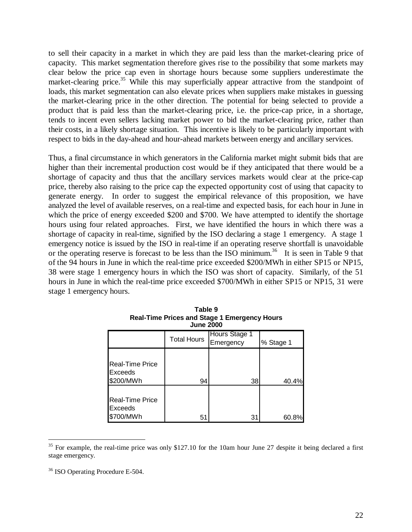to sell their capacity in a market in which they are paid less than the market-clearing price of capacity. This market segmentation therefore gives rise to the possibility that some markets may clear below the price cap even in shortage hours because some suppliers underestimate the market-clearing price.<sup>35</sup> While this may superficially appear attractive from the standpoint of loads, this market segmentation can also elevate prices when suppliers make mistakes in guessing the market-clearing price in the other direction. The potential for being selected to provide a product that is paid less than the market-clearing price, i.e. the price-cap price, in a shortage, tends to incent even sellers lacking market power to bid the market-clearing price, rather than their costs, in a likely shortage situation. This incentive is likely to be particularly important with respect to bids in the day-ahead and hour-ahead markets between energy and ancillary services.

Thus, a final circumstance in which generators in the California market might submit bids that are higher than their incremental production cost would be if they anticipated that there would be a shortage of capacity and thus that the ancillary services markets would clear at the price-cap price, thereby also raising to the price cap the expected opportunity cost of using that capacity to generate energy. In order to suggest the empirical relevance of this proposition, we have analyzed the level of available reserves, on a real-time and expected basis, for each hour in June in which the price of energy exceeded \$200 and \$700. We have attempted to identify the shortage hours using four related approaches. First, we have identified the hours in which there was a shortage of capacity in real-time, signified by the ISO declaring a stage 1 emergency. A stage 1 emergency notice is issued by the ISO in real-time if an operating reserve shortfall is unavoidable or the operating reserve is forecast to be less than the ISO minimum.<sup>36</sup> It is seen in Table 9 that of the 94 hours in June in which the real-time price exceeded \$200/MWh in either SP15 or NP15, 38 were stage 1 emergency hours in which the ISO was short of capacity. Similarly, of the 51 hours in June in which the real-time price exceeded \$700/MWh in either SP15 or NP15, 31 were stage 1 emergency hours.

| <b>June 2000</b>                               |                    |                            |           |
|------------------------------------------------|--------------------|----------------------------|-----------|
|                                                | <b>Total Hours</b> | Hours Stage 1<br>Emergency | % Stage 1 |
| <b>Real-Time Price</b><br>Exceeds<br>\$200/MWh | 94                 | 38                         | 40.4%     |
| <b>Real-Time Price</b><br>Exceeds<br>\$700/MWh | 51                 | 31                         | 60.8%     |

| Table 9                                             |  |  |
|-----------------------------------------------------|--|--|
| <b>Real-Time Prices and Stage 1 Emergency Hours</b> |  |  |
| <b>June 2000</b>                                    |  |  |
| $1 - 2 - 2 - 2 = 3$                                 |  |  |

 $35$  For example, the real-time price was only \$127.10 for the 10am hour June 27 despite it being declared a first stage emergency.

<sup>36</sup> ISO Operating Procedure E-504.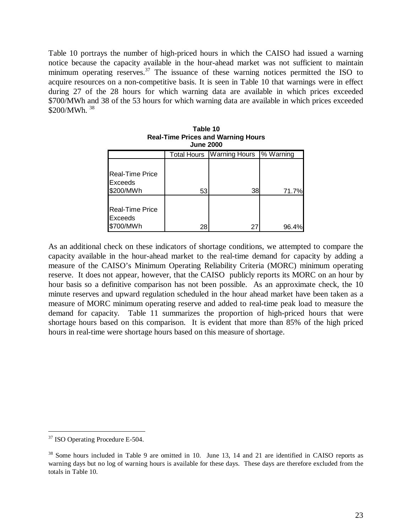Table 10 portrays the number of high-priced hours in which the CAISO had issued a warning notice because the capacity available in the hour-ahead market was not sufficient to maintain minimum operating reserves.<sup>37</sup> The issuance of these warning notices permitted the ISO to acquire resources on a non-competitive basis. It is seen in Table 10 that warnings were in effect during 27 of the 28 hours for which warning data are available in which prices exceeded \$700/MWh and 38 of the 53 hours for which warning data are available in which prices exceeded \$200/MWh.<sup>38</sup>

| <b>June 2000</b>                                      |    |                                    |           |
|-------------------------------------------------------|----|------------------------------------|-----------|
|                                                       |    | <b>Total Hours</b>   Warning Hours | % Warning |
| <b>Real-Time Price</b><br><b>Exceeds</b><br>\$200/MWh | 53 | 38                                 | 71.7%     |
| <b>Real-Time Price</b><br>Exceeds<br>\$700/MWh        | 28 | 27                                 | 96.4%     |

As an additional check on these indicators of shortage conditions, we attempted to compare the capacity available in the hour-ahead market to the real-time demand for capacity by adding a measure of the CAISO's Minimum Operating Reliability Criteria (MORC) minimum operating reserve. It does not appear, however, that the CAISO publicly reports its MORC on an hour by hour basis so a definitive comparison has not been possible. As an approximate check, the 10 minute reserves and upward regulation scheduled in the hour ahead market have been taken as a measure of MORC minimum operating reserve and added to real-time peak load to measure the demand for capacity. Table 11 summarizes the proportion of high-priced hours that were shortage hours based on this comparison. It is evident that more than 85% of the high priced hours in real-time were shortage hours based on this measure of shortage.

<sup>&</sup>lt;sup>37</sup> ISO Operating Procedure E-504.

<sup>&</sup>lt;sup>38</sup> Some hours included in Table 9 are omitted in 10. June 13, 14 and 21 are identified in CAISO reports as warning days but no log of warning hours is available for these days. These days are therefore excluded from the totals in Table 10.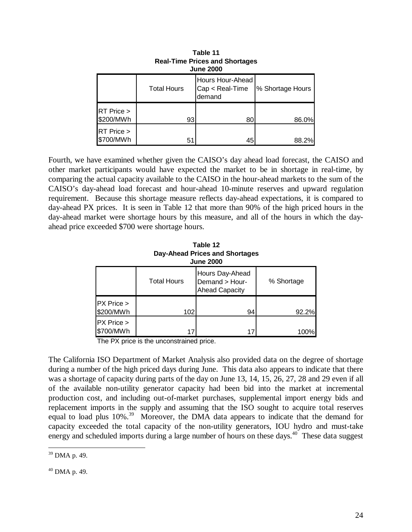| $1100 - 11110 - 111000$ and Onorago<br><b>June 2000</b> |                    |                                               |                  |
|---------------------------------------------------------|--------------------|-----------------------------------------------|------------------|
|                                                         | <b>Total Hours</b> | Hours Hour-Ahead<br>Cap < Real-Time<br>demand | % Shortage Hours |
| RT Price ><br>\$200/MWh                                 | 93                 | 80                                            | 86.0%            |
| RT Price ><br>\$700/MWh                                 | 51                 | 45                                            | 88.2%            |

| Table 11                              |  |  |
|---------------------------------------|--|--|
| <b>Real-Time Prices and Shortages</b> |  |  |
| <b>June 2000</b>                      |  |  |
|                                       |  |  |

Fourth, we have examined whether given the CAISO's day ahead load forecast, the CAISO and other market participants would have expected the market to be in shortage in real-time, by comparing the actual capacity available to the CAISO in the hour-ahead markets to the sum of the CAISO's day-ahead load forecast and hour-ahead 10-minute reserves and upward regulation requirement. Because this shortage measure reflects day-ahead expectations, it is compared to day-ahead PX prices. It is seen in Table 12 that more than 90% of the high priced hours in the day-ahead market were shortage hours by this measure, and all of the hours in which the dayahead price exceeded \$700 were shortage hours.

| Table 12<br><b>Day-Ahead Prices and Shortages</b><br><b>June 2000</b> |                    |                                                            |            |  |
|-----------------------------------------------------------------------|--------------------|------------------------------------------------------------|------------|--|
|                                                                       | <b>Total Hours</b> | Hours Day-Ahead<br>Demand > Hour-<br><b>Ahead Capacity</b> | % Shortage |  |
| PX Price ><br>\$200/MWh                                               | 102                | 94                                                         | 92.2%      |  |
| PX Price ><br>\$700/MWh                                               |                    | 17                                                         | 100%l      |  |

**Table 12**

The PX price is the unconstrained price.

The California ISO Department of Market Analysis also provided data on the degree of shortage during a number of the high priced days during June. This data also appears to indicate that there was a shortage of capacity during parts of the day on June 13, 14, 15, 26, 27, 28 and 29 even if all of the available non-utility generator capacity had been bid into the market at incremental production cost, and including out-of-market purchases, supplemental import energy bids and replacement imports in the supply and assuming that the ISO sought to acquire total reserves equal to load plus 10%<sup>39</sup>. Moreover, the DMA data appears to indicate that the demand for capacity exceeded the total capacity of the non-utility generators, IOU hydro and must-take energy and scheduled imports during a large number of hours on these days.<sup>40</sup> These data suggest

 $40$  DMA p. 49.

 $\overline{a}$ <sup>39</sup> DMA p. 49.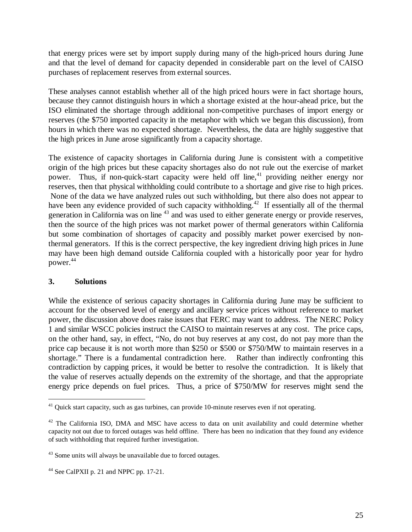that energy prices were set by import supply during many of the high-priced hours during June and that the level of demand for capacity depended in considerable part on the level of CAISO purchases of replacement reserves from external sources.

These analyses cannot establish whether all of the high priced hours were in fact shortage hours, because they cannot distinguish hours in which a shortage existed at the hour-ahead price, but the ISO eliminated the shortage through additional non-competitive purchases of import energy or reserves (the \$750 imported capacity in the metaphor with which we began this discussion), from hours in which there was no expected shortage. Nevertheless, the data are highly suggestive that the high prices in June arose significantly from a capacity shortage.

The existence of capacity shortages in California during June is consistent with a competitive origin of the high prices but these capacity shortages also do not rule out the exercise of market power. Thus, if non-quick-start capacity were held off line,<sup>41</sup> providing neither energy nor reserves, then that physical withholding could contribute to a shortage and give rise to high prices. None of the data we have analyzed rules out such withholding, but there also does not appear to have been any evidence provided of such capacity withholding.<sup>42</sup> If essentially all of the thermal generation in California was on line 43 and was used to either generate energy or provide reserves, then the source of the high prices was not market power of thermal generators within California but some combination of shortages of capacity and possibly market power exercised by nonthermal generators. If this is the correct perspective, the key ingredient driving high prices in June may have been high demand outside California coupled with a historically poor year for hydro power. 44

## **3. Solutions**

 $\overline{a}$ 

While the existence of serious capacity shortages in California during June may be sufficient to account for the observed level of energy and ancillary service prices without reference to market power, the discussion above does raise issues that FERC may want to address. The NERC Policy 1 and similar WSCC policies instruct the CAISO to maintain reserves at any cost. The price caps, on the other hand, say, in effect, "No, do not buy reserves at any cost, do not pay more than the price cap because it is not worth more than \$250 or \$500 or \$750/MW to maintain reserves in a shortage." There is a fundamental contradiction here. Rather than indirectly confronting this contradiction by capping prices, it would be better to resolve the contradiction. It is likely that the value of reserves actually depends on the extremity of the shortage, and that the appropriate energy price depends on fuel prices. Thus, a price of \$750/MW for reserves might send the

 $41$  Quick start capacity, such as gas turbines, can provide 10-minute reserves even if not operating.

 $42$  The California ISO, DMA and MSC have access to data on unit availability and could determine whether capacity not out due to forced outages was held offline. There has been no indication that they found any evidence of such withholding that required further investigation.

<sup>&</sup>lt;sup>43</sup> Some units will always be unavailable due to forced outages.

<sup>&</sup>lt;sup>44</sup> See CalPXII p. 21 and NPPC pp. 17-21.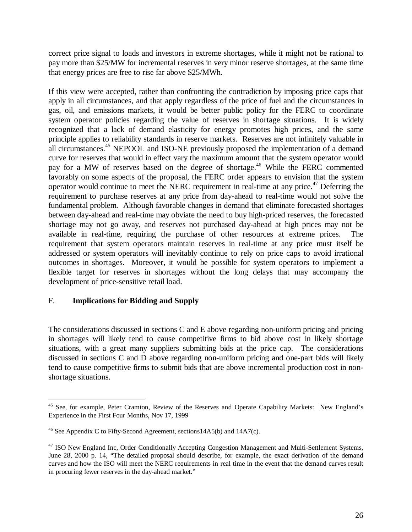correct price signal to loads and investors in extreme shortages, while it might not be rational to pay more than \$25/MW for incremental reserves in very minor reserve shortages, at the same time that energy prices are free to rise far above \$25/MWh.

If this view were accepted, rather than confronting the contradiction by imposing price caps that apply in all circumstances, and that apply regardless of the price of fuel and the circumstances in gas, oil, and emissions markets, it would be better public policy for the FERC to coordinate system operator policies regarding the value of reserves in shortage situations. It is widely recognized that a lack of demand elasticity for energy promotes high prices, and the same principle applies to reliability standards in reserve markets. Reserves are not infinitely valuable in all circumstances.<sup>45</sup> NEPOOL and ISO-NE previously proposed the implementation of a demand curve for reserves that would in effect vary the maximum amount that the system operator would pay for a MW of reserves based on the degree of shortage.<sup>46</sup> While the FERC commented favorably on some aspects of the proposal, the FERC order appears to envision that the system operator would continue to meet the NERC requirement in real-time at any price.47 Deferring the requirement to purchase reserves at any price from day-ahead to real-time would not solve the fundamental problem. Although favorable changes in demand that eliminate forecasted shortages between day-ahead and real-time may obviate the need to buy high-priced reserves, the forecasted shortage may not go away, and reserves not purchased day-ahead at high prices may not be available in real-time, requiring the purchase of other resources at extreme prices. The requirement that system operators maintain reserves in real-time at any price must itself be addressed or system operators will inevitably continue to rely on price caps to avoid irrational outcomes in shortages. Moreover, it would be possible for system operators to implement a flexible target for reserves in shortages without the long delays that may accompany the development of price-sensitive retail load.

## F. **Implications for Bidding and Supply**

 $\overline{a}$ 

The considerations discussed in sections C and E above regarding non-uniform pricing and pricing in shortages will likely tend to cause competitive firms to bid above cost in likely shortage situations, with a great many suppliers submitting bids at the price cap. The considerations discussed in sections C and D above regarding non-uniform pricing and one-part bids will likely tend to cause competitive firms to submit bids that are above incremental production cost in nonshortage situations.

<sup>&</sup>lt;sup>45</sup> See, for example, Peter Cramton, Review of the Reserves and Operate Capability Markets: New England's Experience in the First Four Months, Nov 17, 1999

<sup>46</sup> See Appendix C to Fifty-Second Agreement, sections14A5(b) and 14A7(c).

<sup>&</sup>lt;sup>47</sup> ISO New England Inc, Order Conditionally Accepting Congestion Management and Multi-Settlement Systems, June 28, 2000 p. 14, "The detailed proposal should describe, for example, the exact derivation of the demand curves and how the ISO will meet the NERC requirements in real time in the event that the demand curves result in procuring fewer reserves in the day-ahead market."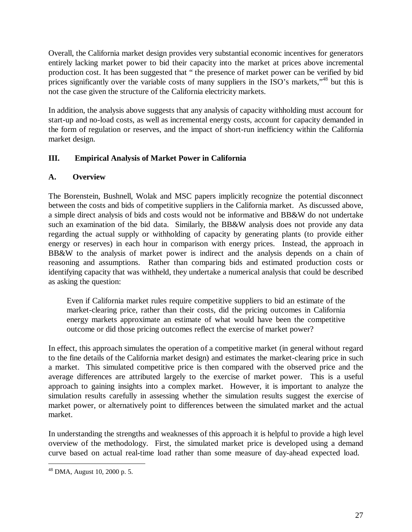Overall, the California market design provides very substantial economic incentives for generators entirely lacking market power to bid their capacity into the market at prices above incremental production cost. It has been suggested that " the presence of market power can be verified by bid prices significantly over the variable costs of many suppliers in the ISO's markets,"<sup>48</sup> but this is not the case given the structure of the California electricity markets.

In addition, the analysis above suggests that any analysis of capacity withholding must account for start-up and no-load costs, as well as incremental energy costs, account for capacity demanded in the form of regulation or reserves, and the impact of short-run inefficiency within the California market design.

# **III. Empirical Analysis of Market Power in California**

## **A. Overview**

The Borenstein, Bushnell, Wolak and MSC papers implicitly recognize the potential disconnect between the costs and bids of competitive suppliers in the California market. As discussed above, a simple direct analysis of bids and costs would not be informative and BB&W do not undertake such an examination of the bid data. Similarly, the BB&W analysis does not provide any data regarding the actual supply or withholding of capacity by generating plants (to provide either energy or reserves) in each hour in comparison with energy prices. Instead, the approach in BB&W to the analysis of market power is indirect and the analysis depends on a chain of reasoning and assumptions. Rather than comparing bids and estimated production costs or identifying capacity that was withheld, they undertake a numerical analysis that could be described as asking the question:

Even if California market rules require competitive suppliers to bid an estimate of the market-clearing price, rather than their costs, did the pricing outcomes in California energy markets approximate an estimate of what would have been the competitive outcome or did those pricing outcomes reflect the exercise of market power?

In effect, this approach simulates the operation of a competitive market (in general without regard to the fine details of the California market design) and estimates the market-clearing price in such a market. This simulated competitive price is then compared with the observed price and the average differences are attributed largely to the exercise of market power. This is a useful approach to gaining insights into a complex market. However, it is important to analyze the simulation results carefully in assessing whether the simulation results suggest the exercise of market power, or alternatively point to differences between the simulated market and the actual market.

In understanding the strengths and weaknesses of this approach it is helpful to provide a high level overview of the methodology. First, the simulated market price is developed using a demand curve based on actual real-time load rather than some measure of day-ahead expected load.

 $48$  DMA, August 10, 2000 p. 5.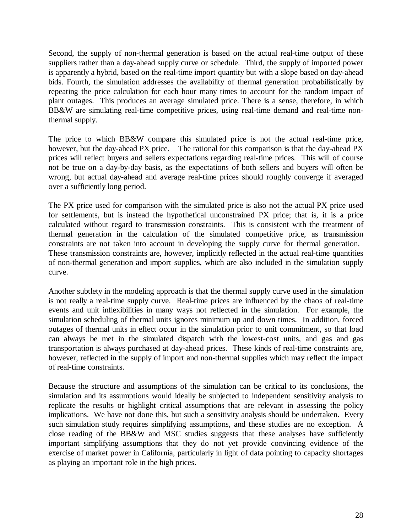Second, the supply of non-thermal generation is based on the actual real-time output of these suppliers rather than a day-ahead supply curve or schedule. Third, the supply of imported power is apparently a hybrid, based on the real-time import quantity but with a slope based on day-ahead bids. Fourth, the simulation addresses the availability of thermal generation probabilistically by repeating the price calculation for each hour many times to account for the random impact of plant outages. This produces an average simulated price. There is a sense, therefore, in which BB&W are simulating real-time competitive prices, using real-time demand and real-time nonthermal supply.

The price to which BB&W compare this simulated price is not the actual real-time price, however, but the day-ahead PX price. The rational for this comparison is that the day-ahead PX prices will reflect buyers and sellers expectations regarding real-time prices. This will of course not be true on a day-by-day basis, as the expectations of both sellers and buyers will often be wrong, but actual day-ahead and average real-time prices should roughly converge if averaged over a sufficiently long period.

The PX price used for comparison with the simulated price is also not the actual PX price used for settlements, but is instead the hypothetical unconstrained PX price; that is, it is a price calculated without regard to transmission constraints. This is consistent with the treatment of thermal generation in the calculation of the simulated competitive price, as transmission constraints are not taken into account in developing the supply curve for thermal generation. These transmission constraints are, however, implicitly reflected in the actual real-time quantities of non-thermal generation and import supplies, which are also included in the simulation supply curve.

Another subtlety in the modeling approach is that the thermal supply curve used in the simulation is not really a real-time supply curve. Real-time prices are influenced by the chaos of real-time events and unit inflexibilities in many ways not reflected in the simulation. For example, the simulation scheduling of thermal units ignores minimum up and down times. In addition, forced outages of thermal units in effect occur in the simulation prior to unit commitment, so that load can always be met in the simulated dispatch with the lowest-cost units, and gas and gas transportation is always purchased at day-ahead prices. These kinds of real-time constraints are, however, reflected in the supply of import and non-thermal supplies which may reflect the impact of real-time constraints.

Because the structure and assumptions of the simulation can be critical to its conclusions, the simulation and its assumptions would ideally be subjected to independent sensitivity analysis to replicate the results or highlight critical assumptions that are relevant in assessing the policy implications. We have not done this, but such a sensitivity analysis should be undertaken. Every such simulation study requires simplifying assumptions, and these studies are no exception. A close reading of the BB&W and MSC studies suggests that these analyses have sufficiently important simplifying assumptions that they do not yet provide convincing evidence of the exercise of market power in California, particularly in light of data pointing to capacity shortages as playing an important role in the high prices.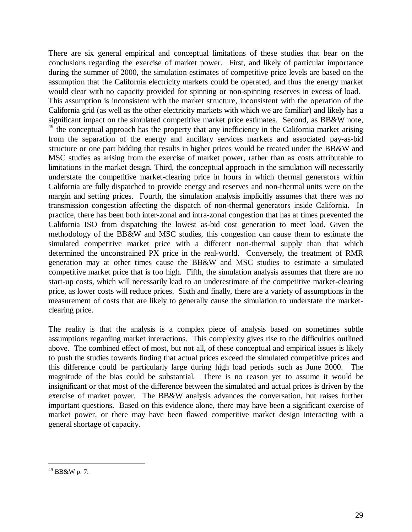There are six general empirical and conceptual limitations of these studies that bear on the conclusions regarding the exercise of market power. First, and likely of particular importance during the summer of 2000, the simulation estimates of competitive price levels are based on the assumption that the California electricity markets could be operated, and thus the energy market would clear with no capacity provided for spinning or non-spinning reserves in excess of load. This assumption is inconsistent with the market structure, inconsistent with the operation of the California grid (as well as the other electricity markets with which we are familiar) and likely has a significant impact on the simulated competitive market price estimates. Second, as BB&W note,  $49$ <sup>49</sup> the conceptual approach has the property that any inefficiency in the California market arising from the separation of the energy and ancillary services markets and associated pay-as-bid structure or one part bidding that results in higher prices would be treated under the BB&W and MSC studies as arising from the exercise of market power, rather than as costs attributable to limitations in the market design. Third, the conceptual approach in the simulation will necessarily understate the competitive market-clearing price in hours in which thermal generators within California are fully dispatched to provide energy and reserves and non-thermal units were on the margin and setting prices. Fourth, the simulation analysis implicitly assumes that there was no transmission congestion affecting the dispatch of non-thermal generators inside California. In practice, there has been both inter-zonal and intra-zonal congestion that has at times prevented the California ISO from dispatching the lowest as-bid cost generation to meet load. Given the methodology of the BB&W and MSC studies, this congestion can cause them to estimate the simulated competitive market price with a different non-thermal supply than that which determined the unconstrained PX price in the real-world. Conversely, the treatment of RMR generation may at other times cause the BB&W and MSC studies to estimate a simulated competitive market price that is too high. Fifth, the simulation analysis assumes that there are no start-up costs, which will necessarily lead to an underestimate of the competitive market-clearing price, as lower costs will reduce prices. Sixth and finally, there are a variety of assumptions in the measurement of costs that are likely to generally cause the simulation to understate the marketclearing price.

The reality is that the analysis is a complex piece of analysis based on sometimes subtle assumptions regarding market interactions. This complexity gives rise to the difficulties outlined above. The combined effect of most, but not all, of these conceptual and empirical issues is likely to push the studies towards finding that actual prices exceed the simulated competitive prices and this difference could be particularly large during high load periods such as June 2000. The magnitude of the bias could be substantial. There is no reason yet to assume it would be insignificant or that most of the difference between the simulated and actual prices is driven by the exercise of market power. The BB&W analysis advances the conversation, but raises further important questions. Based on this evidence alone, there may have been a significant exercise of market power, or there may have been flawed competitive market design interacting with a general shortage of capacity.

 $^{49}$  BB&W p. 7.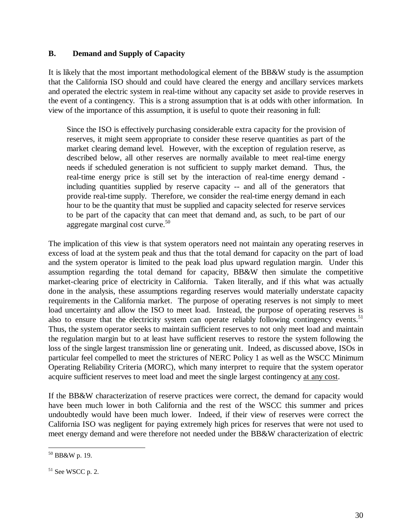## **B. Demand and Supply of Capacity**

It is likely that the most important methodological element of the BB&W study is the assumption that the California ISO should and could have cleared the energy and ancillary services markets and operated the electric system in real-time without any capacity set aside to provide reserves in the event of a contingency. This is a strong assumption that is at odds with other information. In view of the importance of this assumption, it is useful to quote their reasoning in full:

Since the ISO is effectively purchasing considerable extra capacity for the provision of reserves, it might seem appropriate to consider these reserve quantities as part of the market clearing demand level. However, with the exception of regulation reserve, as described below, all other reserves are normally available to meet real-time energy needs if scheduled generation is not sufficient to supply market demand. Thus, the real-time energy price is still set by the interaction of real-time energy demand including quantities supplied by reserve capacity -- and all of the generators that provide real-time supply. Therefore, we consider the real-time energy demand in each hour to be the quantity that must be supplied and capacity selected for reserve services to be part of the capacity that can meet that demand and, as such, to be part of our aggregate marginal cost curve. $50$ 

The implication of this view is that system operators need not maintain any operating reserves in excess of load at the system peak and thus that the total demand for capacity on the part of load and the system operator is limited to the peak load plus upward regulation margin. Under this assumption regarding the total demand for capacity, BB&W then simulate the competitive market-clearing price of electricity in California. Taken literally, and if this what was actually done in the analysis, these assumptions regarding reserves would materially understate capacity requirements in the California market. The purpose of operating reserves is not simply to meet load uncertainty and allow the ISO to meet load. Instead, the purpose of operating reserves is also to ensure that the electricity system can operate reliably following contingency events.<sup>51</sup> Thus, the system operator seeks to maintain sufficient reserves to not only meet load and maintain the regulation margin but to at least have sufficient reserves to restore the system following the loss of the single largest transmission line or generating unit. Indeed, as discussed above, ISOs in particular feel compelled to meet the strictures of NERC Policy 1 as well as the WSCC Minimum Operating Reliability Criteria (MORC), which many interpret to require that the system operator acquire sufficient reserves to meet load and meet the single largest contingency at any cost.

If the BB&W characterization of reserve practices were correct, the demand for capacity would have been much lower in both California and the rest of the WSCC this summer and prices undoubtedly would have been much lower. Indeed, if their view of reserves were correct the California ISO was negligent for paying extremely high prices for reserves that were not used to meet energy demand and were therefore not needed under the BB&W characterization of electric

 $\overline{a}$  $50$  BB&W p. 19.

 $51$  See WSCC p. 2.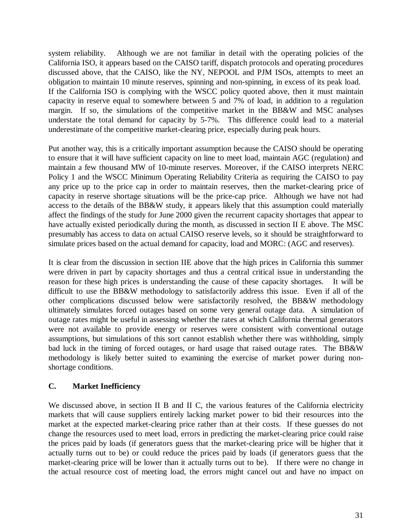system reliability. Although we are not familiar in detail with the operating policies of the California ISO, it appears based on the CAISO tariff, dispatch protocols and operating procedures discussed above, that the CAISO, like the NY, NEPOOL and PJM ISOs, attempts to meet an obligation to maintain 10 minute reserves, spinning and non-spinning, in excess of its peak load. If the California ISO is complying with the WSCC policy quoted above, then it must maintain capacity in reserve equal to somewhere between 5 and 7% of load, in addition to a regulation margin. If so, the simulations of the competitive market in the BB&W and MSC analyses understate the total demand for capacity by 5-7%. This difference could lead to a material underestimate of the competitive market-clearing price, especially during peak hours.

Put another way, this is a critically important assumption because the CAISO should be operating to ensure that it will have sufficient capacity on line to meet load, maintain AGC (regulation) and maintain a few thousand MW of 10-minute reserves. Moreover, if the CAISO interprets NERC Policy 1 and the WSCC Minimum Operating Reliability Criteria as requiring the CAISO to pay any price up to the price cap in order to maintain reserves, then the market-clearing price of capacity in reserve shortage situations will be the price-cap price. Although we have not had access to the details of the BB&W study, it appears likely that this assumption could materially affect the findings of the study for June 2000 given the recurrent capacity shortages that appear to have actually existed periodically during the month, as discussed in section II E above. The MSC presumably has access to data on actual CAISO reserve levels, so it should be straightforward to simulate prices based on the actual demand for capacity, load and MORC: (AGC and reserves).

It is clear from the discussion in section IIE above that the high prices in California this summer were driven in part by capacity shortages and thus a central critical issue in understanding the reason for these high prices is understanding the cause of these capacity shortages. It will be difficult to use the BB&W methodology to satisfactorily address this issue. Even if all of the other complications discussed below were satisfactorily resolved, the BB&W methodology ultimately simulates forced outages based on some very general outage data. A simulation of outage rates might be useful in assessing whether the rates at which California thermal generators were not available to provide energy or reserves were consistent with conventional outage assumptions, but simulations of this sort cannot establish whether there was withholding, simply bad luck in the timing of forced outages, or hard usage that raised outage rates. The BB&W methodology is likely better suited to examining the exercise of market power during nonshortage conditions.

## **C. Market Inefficiency**

We discussed above, in section II B and II C, the various features of the California electricity markets that will cause suppliers entirely lacking market power to bid their resources into the market at the expected market-clearing price rather than at their costs. If these guesses do not change the resources used to meet load, errors in predicting the market-clearing price could raise the prices paid by loads (if generators guess that the market-clearing price will be higher that it actually turns out to be) or could reduce the prices paid by loads (if generators guess that the market-clearing price will be lower than it actually turns out to be). If there were no change in the actual resource cost of meeting load, the errors might cancel out and have no impact on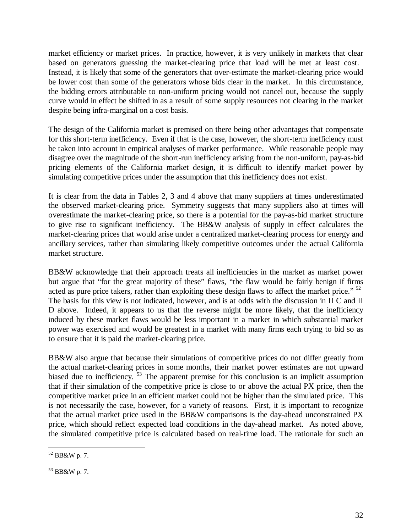market efficiency or market prices. In practice, however, it is very unlikely in markets that clear based on generators guessing the market-clearing price that load will be met at least cost. Instead, it is likely that some of the generators that over-estimate the market-clearing price would be lower cost than some of the generators whose bids clear in the market. In this circumstance, the bidding errors attributable to non-uniform pricing would not cancel out, because the supply curve would in effect be shifted in as a result of some supply resources not clearing in the market despite being infra-marginal on a cost basis.

The design of the California market is premised on there being other advantages that compensate for this short-term inefficiency. Even if that is the case, however, the short-term inefficiency must be taken into account in empirical analyses of market performance. While reasonable people may disagree over the magnitude of the short-run inefficiency arising from the non-uniform, pay-as-bid pricing elements of the California market design, it is difficult to identify market power by simulating competitive prices under the assumption that this inefficiency does not exist.

It is clear from the data in Tables 2, 3 and 4 above that many suppliers at times underestimated the observed market-clearing price. Symmetry suggests that many suppliers also at times will overestimate the market-clearing price, so there is a potential for the pay-as-bid market structure to give rise to significant inefficiency. The BB&W analysis of supply in effect calculates the market-clearing prices that would arise under a centralized market-clearing process for energy and ancillary services, rather than simulating likely competitive outcomes under the actual California market structure.

BB&W acknowledge that their approach treats all inefficiencies in the market as market power but argue that "for the great majority of these" flaws, "the flaw would be fairly benign if firms acted as pure price takers, rather than exploiting these design flaws to affect the market price." <sup>52</sup> The basis for this view is not indicated, however, and is at odds with the discussion in II C and II D above. Indeed, it appears to us that the reverse might be more likely, that the inefficiency induced by these market flaws would be less important in a market in which substantial market power was exercised and would be greatest in a market with many firms each trying to bid so as to ensure that it is paid the market-clearing price.

BB&W also argue that because their simulations of competitive prices do not differ greatly from the actual market-clearing prices in some months, their market power estimates are not upward biased due to inefficiency. <sup>53</sup> The apparent premise for this conclusion is an implicit assumption that if their simulation of the competitive price is close to or above the actual PX price, then the competitive market price in an efficient market could not be higher than the simulated price. This is not necessarily the case, however, for a variety of reasons. First, it is important to recognize that the actual market price used in the BB&W comparisons is the day-ahead unconstrained PX price, which should reflect expected load conditions in the day-ahead market. As noted above, the simulated competitive price is calculated based on real-time load. The rationale for such an

 $\overline{a}$  $52$  BB&W p. 7.

<sup>53</sup> BB&W p. 7.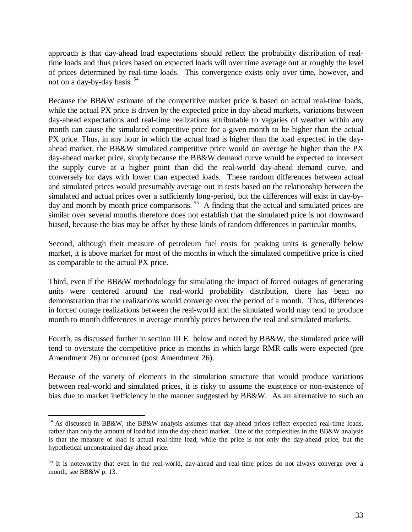approach is that day-ahead load expectations should reflect the probability distribution of realtime loads and thus prices based on expected loads will over time average out at roughly the level of prices determined by real-time loads. This convergence exists only over time, however, and not on a day-by-day basis.  $54$ 

Because the BB&W estimate of the competitive market price is based on actual real-time loads, while the actual PX price is driven by the expected price in day-ahead markets, variations between day-ahead expectations and real-time realizations attributable to vagaries of weather within any month can cause the simulated competitive price for a given month to be higher than the actual PX price. Thus, in any hour in which the actual load is higher than the load expected in the dayahead market, the BB&W simulated competitive price would on average be higher than the PX day-ahead market price, simply because the BB&W demand curve would be expected to intersect the supply curve at a higher point than did the real-world day-ahead demand curve, and conversely for days with lower than expected loads. These random differences between actual and simulated prices would presumably average out in tests based on the relationship between the simulated and actual prices over a sufficiently long-period, but the differences will exist in day-byday and month by month price comparisons.<sup>55</sup> A finding that the actual and simulated prices are similar over several months therefore does not establish that the simulated price is not downward biased, because the bias may be offset by these kinds of random differences in particular months.

Second, although their measure of petroleum fuel costs for peaking units is generally below market, it is above market for most of the months in which the simulated competitive price is cited as comparable to the actual PX price.

Third, even if the BB&W methodology for simulating the impact of forced outages of generating units were centered around the real-world probability distribution, there has been no demonstration that the realizations would converge over the period of a month. Thus, differences in forced outage realizations between the real-world and the simulated world may tend to produce month to month differences in average monthly prices between the real and simulated markets.

Fourth, as discussed further in section III E below and noted by BB&W, the simulated price will tend to overstate the competitive price in months in which large RMR calls were expected (pre Amendment 26) or occurred (post Amendment 26).

Because of the variety of elements in the simulation structure that would produce variations between real-world and simulated prices, it is risky to assume the existence or non-existence of bias due to market inefficiency in the manner suggested by BB&W. As an alternative to such an

 $54$  As discussed in BB&W, the BB&W analysis assumes that day-ahead prices reflect expected real-time loads, rather than only the amount of load bid into the day-ahead market. One of the complexities in the BB&W analysis is that the measure of load is actual real-time load, while the price is not only the day-ahead price, but the hypothetical unconstrained day-ahead price.

<sup>&</sup>lt;sup>55</sup> It is noteworthy that even in the real-world, day-ahead and real-time prices do not always converge over a month, see BB&W p. 13.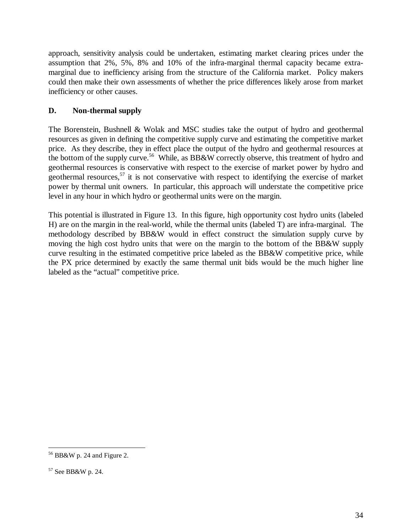approach, sensitivity analysis could be undertaken, estimating market clearing prices under the assumption that 2%, 5%, 8% and 10% of the infra-marginal thermal capacity became extramarginal due to inefficiency arising from the structure of the California market. Policy makers could then make their own assessments of whether the price differences likely arose from market inefficiency or other causes.

# **D. Non-thermal supply**

The Borenstein, Bushnell & Wolak and MSC studies take the output of hydro and geothermal resources as given in defining the competitive supply curve and estimating the competitive market price. As they describe, they in effect place the output of the hydro and geothermal resources at the bottom of the supply curve.<sup>56</sup> While, as BB&W correctly observe, this treatment of hydro and geothermal resources is conservative with respect to the exercise of market power by hydro and geothermal resources,<sup>57</sup> it is not conservative with respect to identifying the exercise of market power by thermal unit owners. In particular, this approach will understate the competitive price level in any hour in which hydro or geothermal units were on the margin.

This potential is illustrated in Figure 13. In this figure, high opportunity cost hydro units (labeled H) are on the margin in the real-world, while the thermal units (labeled T) are infra-marginal. The methodology described by BB&W would in effect construct the simulation supply curve by moving the high cost hydro units that were on the margin to the bottom of the BB&W supply curve resulting in the estimated competitive price labeled as the BB&W competitive price, while the PX price determined by exactly the same thermal unit bids would be the much higher line labeled as the "actual" competitive price.

 $\overline{a}$ 56 BB&W p. 24 and Figure 2.

<sup>57</sup> See BB&W p. 24.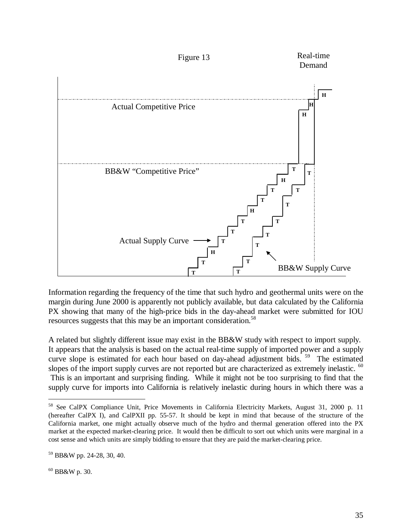

Information regarding the frequency of the time that such hydro and geothermal units were on the margin during June 2000 is apparently not publicly available, but data calculated by the California PX showing that many of the high-price bids in the day-ahead market were submitted for IOU resources suggests that this may be an important consideration.<sup>58</sup>

A related but slightly different issue may exist in the BB&W study with respect to import supply. It appears that the analysis is based on the actual real-time supply of imported power and a supply curve slope is estimated for each hour based on day-ahead adjustment bids.<sup>59</sup> The estimated slopes of the import supply curves are not reported but are characterized as extremely inelastic. <sup>60</sup> This is an important and surprising finding. While it might not be too surprising to find that the supply curve for imports into California is relatively inelastic during hours in which there was a

<sup>58</sup> See CalPX Compliance Unit, Price Movements in California Electricity Markets, August 31, 2000 p. 11 (hereafter CalPX I), and CalPXII pp. 55-57. It should be kept in mind that because of the structure of the California market, one might actually observe much of the hydro and thermal generation offered into the PX market at the expected market-clearing price. It would then be difficult to sort out which units were marginal in a cost sense and which units are simply bidding to ensure that they are paid the market-clearing price.

<sup>59</sup> BB&W pp. 24-28, 30, 40.

 $60$  BB&W p. 30.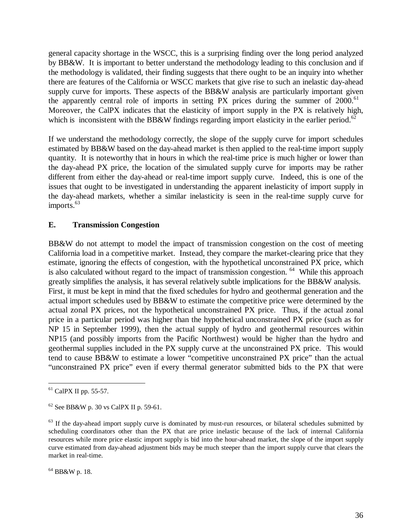general capacity shortage in the WSCC, this is a surprising finding over the long period analyzed by BB&W. It is important to better understand the methodology leading to this conclusion and if the methodology is validated, their finding suggests that there ought to be an inquiry into whether there are features of the California or WSCC markets that give rise to such an inelastic day-ahead supply curve for imports. These aspects of the BB&W analysis are particularly important given the apparently central role of imports in setting PX prices during the summer of  $2000$ .<sup>61</sup> Moreover, the CalPX indicates that the elasticity of import supply in the PX is relatively high, which is inconsistent with the BB&W findings regarding import elasticity in the earlier period.<sup>62</sup>

If we understand the methodology correctly, the slope of the supply curve for import schedules estimated by BB&W based on the day-ahead market is then applied to the real-time import supply quantity. It is noteworthy that in hours in which the real-time price is much higher or lower than the day-ahead PX price, the location of the simulated supply curve for imports may be rather different from either the day-ahead or real-time import supply curve. Indeed, this is one of the issues that ought to be investigated in understanding the apparent inelasticity of import supply in the day-ahead markets, whether a similar inelasticity is seen in the real-time supply curve for imports.<sup>63</sup>

#### **E. Transmission Congestion**

BB&W do not attempt to model the impact of transmission congestion on the cost of meeting California load in a competitive market. Instead, they compare the market-clearing price that they estimate, ignoring the effects of congestion, with the hypothetical unconstrained PX price, which is also calculated without regard to the impact of transmission congestion. <sup>64</sup> While this approach greatly simplifies the analysis, it has several relatively subtle implications for the BB&W analysis. First, it must be kept in mind that the fixed schedules for hydro and geothermal generation and the actual import schedules used by BB&W to estimate the competitive price were determined by the actual zonal PX prices, not the hypothetical unconstrained PX price. Thus, if the actual zonal price in a particular period was higher than the hypothetical unconstrained PX price (such as for NP 15 in September 1999), then the actual supply of hydro and geothermal resources within NP15 (and possibly imports from the Pacific Northwest) would be higher than the hydro and geothermal supplies included in the PX supply curve at the unconstrained PX price. This would tend to cause BB&W to estimate a lower "competitive unconstrained PX price" than the actual "unconstrained PX price" even if every thermal generator submitted bids to the PX that were

 $61$  CalPX II pp. 55-57.

 $62$  See BB&W p. 30 vs CalPX II p. 59-61.

 $63$  If the day-ahead import supply curve is dominated by must-run resources, or bilateral schedules submitted by scheduling coordinators other than the PX that are price inelastic because of the lack of internal California resources while more price elastic import supply is bid into the hour-ahead market, the slope of the import supply curve estimated from day-ahead adjustment bids may be much steeper than the import supply curve that clears the market in real-time.

<sup>64</sup> BB&W p. 18.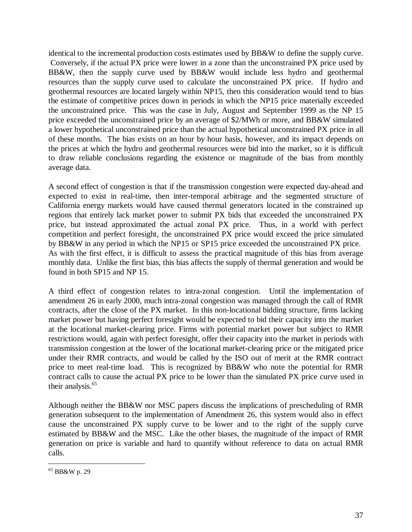identical to the incremental production costs estimates used by BB&W to define the supply curve. Conversely, if the actual PX price were lower in a zone than the unconstrained PX price used by BB&W, then the supply curve used by BB&W would include less hydro and geothermal resources than the supply curve used to calculate the unconstrained PX price. If hydro and geothermal resources are located largely within NP15, then this consideration would tend to bias the estimate of competitive prices down in periods in which the NP15 price materially exceeded the unconstrained price. This was the case in July, August and September 1999 as the NP 15 price exceeded the unconstrained price by an average of \$2/MWh or more, and BB&W simulated a lower hypothetical unconstrained price than the actual hypothetical unconstrained PX price in all of these months. The bias exists on an hour by hour basis, however, and its impact depends on the prices at which the hydro and geothermal resources were bid into the market, so it is difficult to draw reliable conclusions regarding the existence or magnitude of the bias from monthly average data.

A second effect of congestion is that if the transmission congestion were expected day-ahead and expected to exist in real-time, then inter-temporal arbitrage and the segmented structure of California energy markets would have caused thermal generators located in the constrained up regions that entirely lack market power to submit PX bids that exceeded the unconstrained PX price, but instead approximated the actual zonal PX price. Thus, in a world with perfect competition and perfect foresight, the unconstrained PX price would exceed the price simulated by BB&W in any period in which the NP15 or SP15 price exceeded the unconstrained PX price. As with the first effect, it is difficult to assess the practical magnitude of this bias from average monthly data. Unlike the first bias, this bias affects the supply of thermal generation and would be found in both SP15 and NP 15.

A third effect of congestion relates to intra-zonal congestion. Until the implementation of amendment 26 in early 2000, much intra-zonal congestion was managed through the call of RMR contracts, after the close of the PX market. In this non-locational bidding structure, firms lacking market power but having perfect foresight would be expected to bid their capacity into the market at the locational market-clearing price. Firms with potential market power but subject to RMR restrictions would, again with perfect foresight, offer their capacity into the market in periods with transmission congestion at the lower of the locational market-clearing price or the mitigated price under their RMR contracts, and would be called by the ISO out of merit at the RMR contract price to meet real-time load. This is recognized by BB&W who note the potential for RMR contract calls to cause the actual PX price to be lower than the simulated PX price curve used in their analysis.<sup>65</sup>

Although neither the BB&W nor MSC papers discuss the implications of prescheduling of RMR generation subsequent to the implementation of Amendment 26, this system would also in effect cause the unconstrained PX supply curve to be lower and to the right of the supply curve estimated by BB&W and the MSC. Like the other biases, the magnitude of the impact of RMR generation on price is variable and hard to quantify without reference to data on actual RMR calls.

<sup>65</sup> BB&W p. 29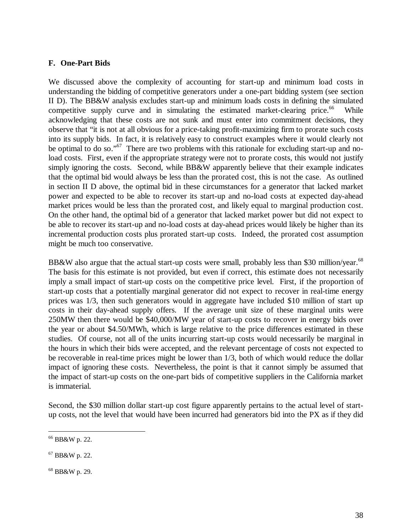#### **F. One-Part Bids**

We discussed above the complexity of accounting for start-up and minimum load costs in understanding the bidding of competitive generators under a one-part bidding system (see section II D). The BB&W analysis excludes start-up and minimum loads costs in defining the simulated competitive supply curve and in simulating the estimated market-clearing price.<sup>66</sup> While acknowledging that these costs are not sunk and must enter into commitment decisions, they observe that "it is not at all obvious for a price-taking profit-maximizing firm to prorate such costs into its supply bids. In fact, it is relatively easy to construct examples where it would clearly not be optimal to do so."<sup>67</sup> There are two problems with this rationale for excluding start-up and noload costs. First, even if the appropriate strategy were not to prorate costs, this would not justify simply ignoring the costs. Second, while BB&W apparently believe that their example indicates that the optimal bid would always be less than the prorated cost, this is not the case. As outlined in section II D above, the optimal bid in these circumstances for a generator that lacked market power and expected to be able to recover its start-up and no-load costs at expected day-ahead market prices would be less than the prorated cost, and likely equal to marginal production cost. On the other hand, the optimal bid of a generator that lacked market power but did not expect to be able to recover its start-up and no-load costs at day-ahead prices would likely be higher than its incremental production costs plus prorated start-up costs. Indeed, the prorated cost assumption might be much too conservative.

BB&W also argue that the actual start-up costs were small, probably less than \$30 million/year.<sup>68</sup> The basis for this estimate is not provided, but even if correct, this estimate does not necessarily imply a small impact of start-up costs on the competitive price level. First, if the proportion of start-up costs that a potentially marginal generator did not expect to recover in real-time energy prices was 1/3, then such generators would in aggregate have included \$10 million of start up costs in their day-ahead supply offers. If the average unit size of these marginal units were 250MW then there would be \$40,000/MW year of start-up costs to recover in energy bids over the year or about \$4.50/MWh, which is large relative to the price differences estimated in these studies. Of course, not all of the units incurring start-up costs would necessarily be marginal in the hours in which their bids were accepted, and the relevant percentage of costs not expected to be recoverable in real-time prices might be lower than 1/3, both of which would reduce the dollar impact of ignoring these costs. Nevertheless, the point is that it cannot simply be assumed that the impact of start-up costs on the one-part bids of competitive suppliers in the California market is immaterial.

Second, the \$30 million dollar start-up cost figure apparently pertains to the actual level of startup costs, not the level that would have been incurred had generators bid into the PX as if they did

 $\overline{a}$ 66 BB&W p. 22.

<sup>67</sup> BB&W p. 22.

<sup>68</sup> BB&W p. 29.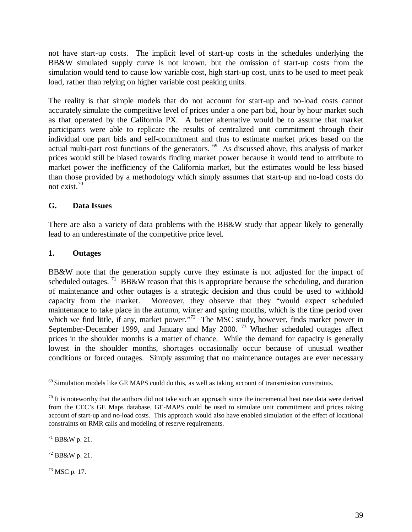not have start-up costs. The implicit level of start-up costs in the schedules underlying the BB&W simulated supply curve is not known, but the omission of start-up costs from the simulation would tend to cause low variable cost, high start-up cost, units to be used to meet peak load, rather than relying on higher variable cost peaking units.

The reality is that simple models that do not account for start-up and no-load costs cannot accurately simulate the competitive level of prices under a one part bid, hour by hour market such as that operated by the California PX. A better alternative would be to assume that market participants were able to replicate the results of centralized unit commitment through their individual one part bids and self-commitment and thus to estimate market prices based on the actual multi-part cost functions of the generators. <sup>69</sup> As discussed above, this analysis of market prices would still be biased towards finding market power because it would tend to attribute to market power the inefficiency of the California market, but the estimates would be less biased than those provided by a methodology which simply assumes that start-up and no-load costs do not exist.<sup>70</sup>

## **G. Data Issues**

There are also a variety of data problems with the BB&W study that appear likely to generally lead to an underestimate of the competitive price level.

## **1. Outages**

BB&W note that the generation supply curve they estimate is not adjusted for the impact of scheduled outages. <sup>71</sup> BB&W reason that this is appropriate because the scheduling, and duration of maintenance and other outages is a strategic decision and thus could be used to withhold capacity from the market. Moreover, they observe that they "would expect scheduled maintenance to take place in the autumn, winter and spring months, which is the time period over which we find little, if any, market power."<sup>72</sup> The MSC study, however, finds market power in September-December 1999, and January and May 2000.<sup>73</sup> Whether scheduled outages affect prices in the shoulder months is a matter of chance. While the demand for capacity is generally lowest in the shoulder months, shortages occasionally occur because of unusual weather conditions or forced outages. Simply assuming that no maintenance outages are ever necessary

71 BB&W p. 21.

72 BB&W p. 21.

73 MSC p. 17.

 $\overline{a}$  $69$  Simulation models like GE MAPS could do this, as well as taking account of transmission constraints.

 $70$  It is noteworthy that the authors did not take such an approach since the incremental heat rate data were derived from the CEC's GE Maps database. GE-MAPS could be used to simulate unit commitment and prices taking account of start-up and no-load costs. This approach would also have enabled simulation of the effect of locational constraints on RMR calls and modeling of reserve requirements.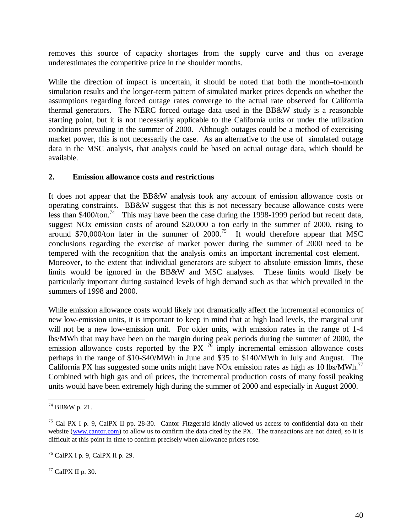removes this source of capacity shortages from the supply curve and thus on average underestimates the competitive price in the shoulder months.

While the direction of impact is uncertain, it should be noted that both the month–to-month simulation results and the longer-term pattern of simulated market prices depends on whether the assumptions regarding forced outage rates converge to the actual rate observed for California thermal generators. The NERC forced outage data used in the BB&W study is a reasonable starting point, but it is not necessarily applicable to the California units or under the utilization conditions prevailing in the summer of 2000. Although outages could be a method of exercising market power, this is not necessarily the case. As an alternative to the use of simulated outage data in the MSC analysis, that analysis could be based on actual outage data, which should be available.

#### **2. Emission allowance costs and restrictions**

It does not appear that the BB&W analysis took any account of emission allowance costs or operating constraints. BB&W suggest that this is not necessary because allowance costs were less than  $$400/t$ on.<sup>74</sup> This may have been the case during the 1998-1999 period but recent data, suggest NOx emission costs of around \$20,000 a ton early in the summer of 2000, rising to around \$70,000/ton later in the summer of  $2000$ .<sup>75</sup> It would therefore appear that MSC conclusions regarding the exercise of market power during the summer of 2000 need to be tempered with the recognition that the analysis omits an important incremental cost element. Moreover, to the extent that individual generators are subject to absolute emission limits, these limits would be ignored in the BB&W and MSC analyses. These limits would likely be particularly important during sustained levels of high demand such as that which prevailed in the summers of 1998 and 2000.

While emission allowance costs would likely not dramatically affect the incremental economics of new low-emission units, it is important to keep in mind that at high load levels, the marginal unit will not be a new low-emission unit. For older units, with emission rates in the range of 1-4 lbs/MWh that may have been on the margin during peak periods during the summer of 2000, the emission allowance costs reported by the PX  $^{76}$  imply incremental emission allowance costs perhaps in the range of \$10-\$40/MWh in June and \$35 to \$140/MWh in July and August. The California PX has suggested some units might have NOx emission rates as high as 10 lbs/MWh.<sup>77</sup> Combined with high gas and oil prices, the incremental production costs of many fossil peaking units would have been extremely high during the summer of 2000 and especially in August 2000.

 $77$  CalPX II p. 30.

 $\overline{a}$  $74$  BB&W p. 21.

<sup>75</sup> Cal PX I p. 9, CalPX II pp. 28-30. Cantor Fitzgerald kindly allowed us access to confidential data on their website (www.cantor.com) to allow us to confirm the data cited by the PX. The transactions are not dated, so it is difficult at this point in time to confirm precisely when allowance prices rose.

<sup>76</sup> CalPX I p. 9, CalPX II p. 29.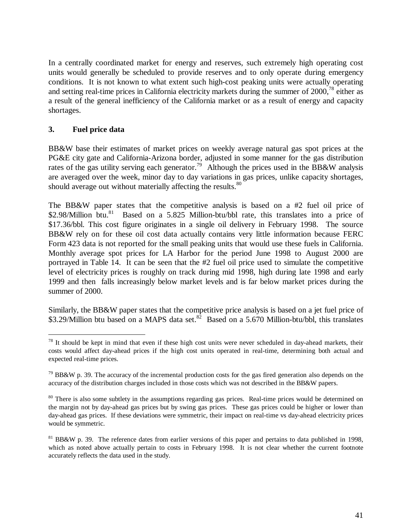In a centrally coordinated market for energy and reserves, such extremely high operating cost units would generally be scheduled to provide reserves and to only operate during emergency conditions. It is not known to what extent such high-cost peaking units were actually operating and setting real-time prices in California electricity markets during the summer of  $2000$ ,<sup>78</sup> either as a result of the general inefficiency of the California market or as a result of energy and capacity shortages.

# **3. Fuel price data**

 $\overline{a}$ 

BB&W base their estimates of market prices on weekly average natural gas spot prices at the PG&E city gate and California-Arizona border, adjusted in some manner for the gas distribution rates of the gas utility serving each generator.<sup>79</sup> Although the prices used in the BB&W analysis are averaged over the week, minor day to day variations in gas prices, unlike capacity shortages, should average out without materially affecting the results.<sup>80</sup>

The BB&W paper states that the competitive analysis is based on a #2 fuel oil price of \$2.98/Million btu.<sup>81</sup> Based on a 5.825 Million-btu/bbl rate, this translates into a price of \$17.36/bbl. This cost figure originates in a single oil delivery in February 1998. The source BB&W rely on for these oil cost data actually contains very little information because FERC Form 423 data is not reported for the small peaking units that would use these fuels in California. Monthly average spot prices for LA Harbor for the period June 1998 to August 2000 are portrayed in Table 14. It can be seen that the #2 fuel oil price used to simulate the competitive level of electricity prices is roughly on track during mid 1998, high during late 1998 and early 1999 and then falls increasingly below market levels and is far below market prices during the summer of 2000.

Similarly, the BB&W paper states that the competitive price analysis is based on a jet fuel price of \$3.29/Million btu based on a MAPS data set.<sup>82</sup> Based on a 5.670 Million-btu/bbl, this translates

 $78$  It should be kept in mind that even if these high cost units were never scheduled in day-ahead markets, their costs would affect day-ahead prices if the high cost units operated in real-time, determining both actual and expected real-time prices.

 $^{79}$  BB&W p. 39. The accuracy of the incremental production costs for the gas fired generation also depends on the accuracy of the distribution charges included in those costs which was not described in the BB&W papers.

<sup>&</sup>lt;sup>80</sup> There is also some subtlety in the assumptions regarding gas prices. Real-time prices would be determined on the margin not by day-ahead gas prices but by swing gas prices. These gas prices could be higher or lower than day-ahead gas prices. If these deviations were symmetric, their impact on real-time vs day-ahead electricity prices would be symmetric.

 $81$  BB&W p. 39. The reference dates from earlier versions of this paper and pertains to data published in 1998, which as noted above actually pertain to costs in February 1998. It is not clear whether the current footnote accurately reflects the data used in the study.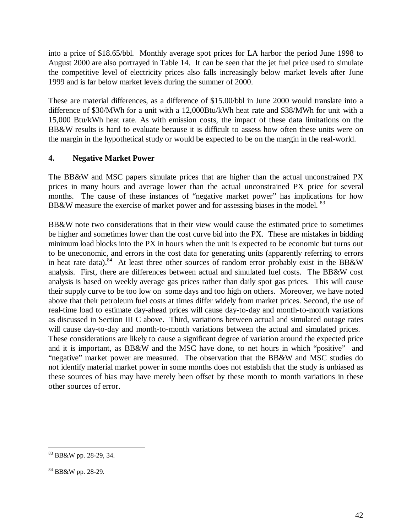into a price of \$18.65/bbl. Monthly average spot prices for LA harbor the period June 1998 to August 2000 are also portrayed in Table 14. It can be seen that the jet fuel price used to simulate the competitive level of electricity prices also falls increasingly below market levels after June 1999 and is far below market levels during the summer of 2000.

These are material differences, as a difference of \$15.00/bbl in June 2000 would translate into a difference of \$30/MWh for a unit with a 12,000Btu/kWh heat rate and \$38/MWh for unit with a 15,000 Btu/kWh heat rate. As with emission costs, the impact of these data limitations on the BB&W results is hard to evaluate because it is difficult to assess how often these units were on the margin in the hypothetical study or would be expected to be on the margin in the real-world.

## **4. Negative Market Power**

The BB&W and MSC papers simulate prices that are higher than the actual unconstrained PX prices in many hours and average lower than the actual unconstrained PX price for several months. The cause of these instances of "negative market power" has implications for how BB&W measure the exercise of market power and for assessing biases in the model. <sup>83</sup>

BB&W note two considerations that in their view would cause the estimated price to sometimes be higher and sometimes lower than the cost curve bid into the PX. These are mistakes in bidding minimum load blocks into the PX in hours when the unit is expected to be economic but turns out to be uneconomic, and errors in the cost data for generating units (apparently referring to errors in heat rate data).<sup>84</sup> At least three other sources of random error probably exist in the BB&W analysis. First, there are differences between actual and simulated fuel costs. The BB&W cost analysis is based on weekly average gas prices rather than daily spot gas prices. This will cause their supply curve to be too low on some days and too high on others. Moreover, we have noted above that their petroleum fuel costs at times differ widely from market prices. Second, the use of real-time load to estimate day-ahead prices will cause day-to-day and month-to-month variations as discussed in Section III C above. Third, variations between actual and simulated outage rates will cause day-to-day and month-to-month variations between the actual and simulated prices. These considerations are likely to cause a significant degree of variation around the expected price and it is important, as BB&W and the MSC have done, to net hours in which "positive" and "negative" market power are measured. The observation that the BB&W and MSC studies do not identify material market power in some months does not establish that the study is unbiased as these sources of bias may have merely been offset by these month to month variations in these other sources of error.

 $\overline{a}$ 83 BB&W pp. 28-29, 34.

<sup>84</sup> BB&W pp. 28-29.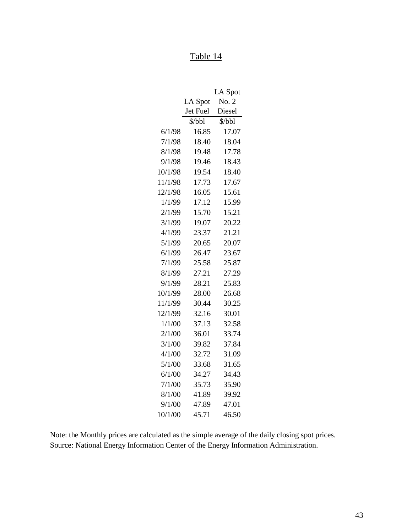# Table 14

|         |          | LA Spot |
|---------|----------|---------|
|         | LA Spot  | No. 2   |
|         | Jet Fuel | Diesel  |
|         | \$/bbl   | \$/bbl  |
| 6/1/98  | 16.85    | 17.07   |
| 7/1/98  | 18.40    | 18.04   |
| 8/1/98  | 19.48    | 17.78   |
| 9/1/98  | 19.46    | 18.43   |
| 10/1/98 | 19.54    | 18.40   |
| 11/1/98 | 17.73    | 17.67   |
| 12/1/98 | 16.05    | 15.61   |
| 1/1/99  | 17.12    | 15.99   |
| 2/1/99  | 15.70    | 15.21   |
| 3/1/99  | 19.07    | 20.22   |
| 4/1/99  | 23.37    | 21.21   |
| 5/1/99  | 20.65    | 20.07   |
| 6/1/99  | 26.47    | 23.67   |
| 7/1/99  | 25.58    | 25.87   |
| 8/1/99  | 27.21    | 27.29   |
| 9/1/99  | 28.21    | 25.83   |
| 10/1/99 | 28.00    | 26.68   |
| 11/1/99 | 30.44    | 30.25   |
| 12/1/99 | 32.16    | 30.01   |
| 1/1/00  | 37.13    | 32.58   |
| 2/1/00  | 36.01    | 33.74   |
| 3/1/00  | 39.82    | 37.84   |
| 4/1/00  | 32.72    | 31.09   |
| 5/1/00  | 33.68    | 31.65   |
| 6/1/00  | 34.27    | 34.43   |
| 7/1/00  | 35.73    | 35.90   |
| 8/1/00  | 41.89    | 39.92   |
| 9/1/00  | 47.89    | 47.01   |
| 10/1/00 | 45.71    | 46.50   |

Note: the Monthly prices are calculated as the simple average of the daily closing spot prices. Source: National Energy Information Center of the Energy Information Administration.